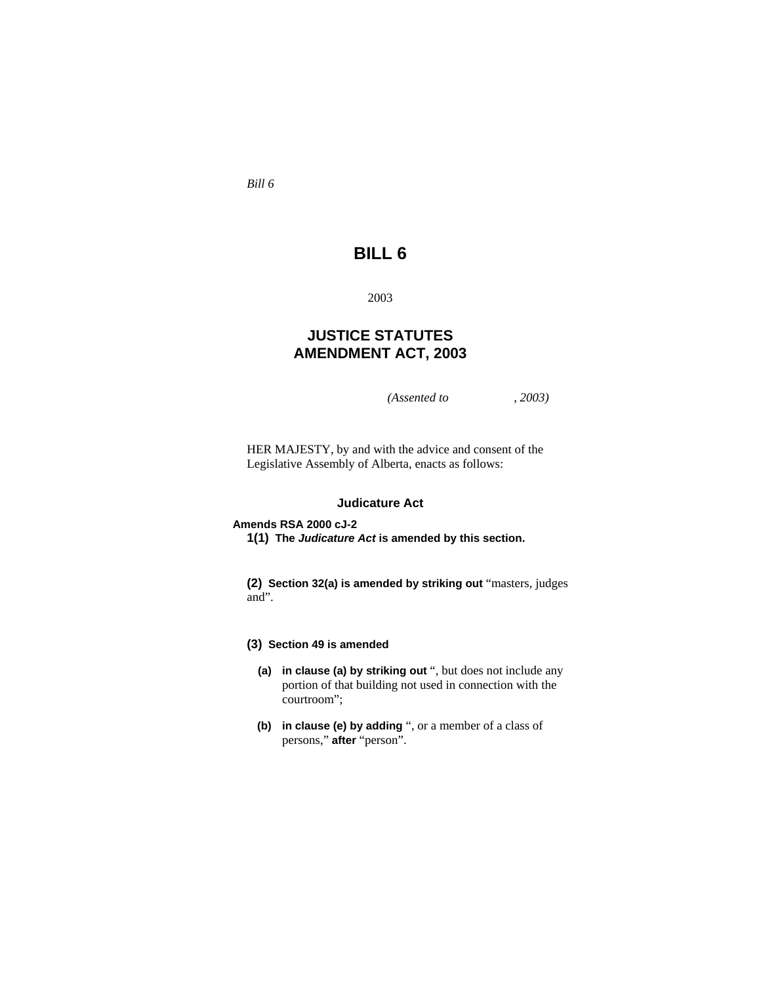*Bill 6* 

# **BILL 6**

2003

# **JUSTICE STATUTES AMENDMENT ACT, 2003**

*(Assented to , 2003)* 

HER MAJESTY, by and with the advice and consent of the Legislative Assembly of Alberta, enacts as follows:

# **Judicature Act**

## **Amends RSA 2000 cJ-2**

**1(1) The** *Judicature Act* **is amended by this section.** 

**(2) Section 32(a) is amended by striking out** "masters, judges and".

# **(3) Section 49 is amended**

- **(a) in clause (a) by striking out** ", but does not include any portion of that building not used in connection with the courtroom";
- **(b) in clause (e) by adding** ", or a member of a class of persons," **after** "person".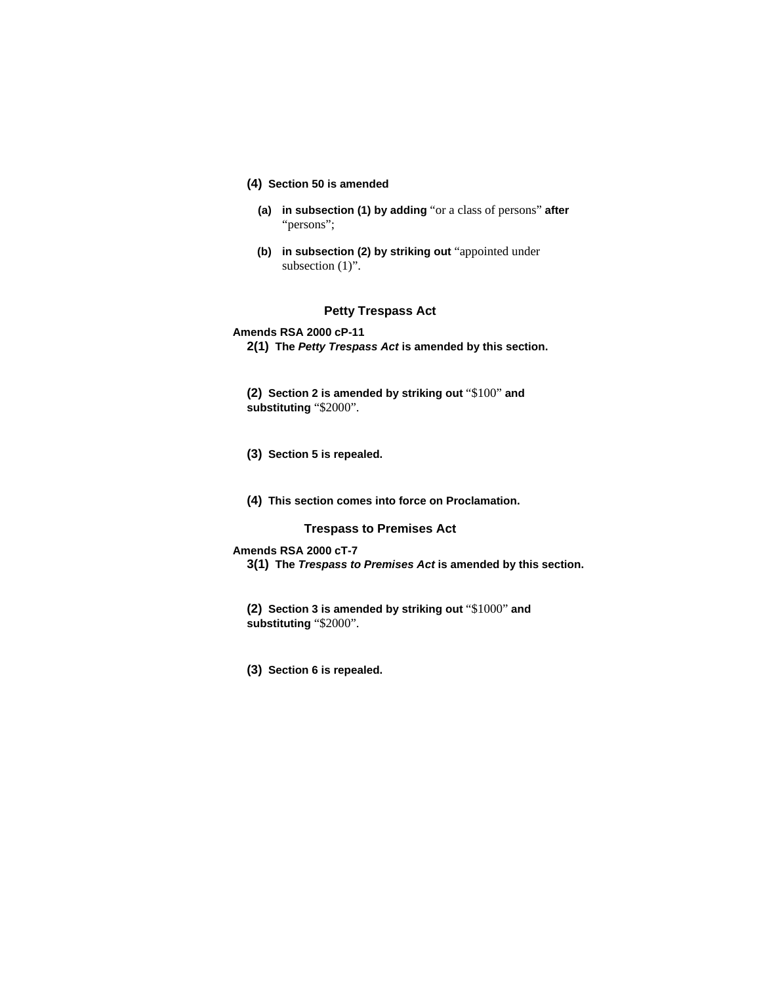- **(4) Section 50 is amended**
	- **(a) in subsection (1) by adding** "or a class of persons" **after**  "persons";
	- **(b) in subsection (2) by striking out** "appointed under subsection  $(1)$ ".

# **Petty Trespass Act**

**Amends RSA 2000 cP-11** 

**2(1) The** *Petty Trespass Act* **is amended by this section.** 

**(2) Section 2 is amended by striking out** "\$100" **and substituting** "\$2000".

- **(3) Section 5 is repealed.**
- **(4) This section comes into force on Proclamation.**

# **Trespass to Premises Act**

#### **Amends RSA 2000 cT-7**

**3(1) The** *Trespass to Premises Act* **is amended by this section.** 

**(2) Section 3 is amended by striking out** "\$1000" **and substituting** "\$2000".

**(3) Section 6 is repealed.**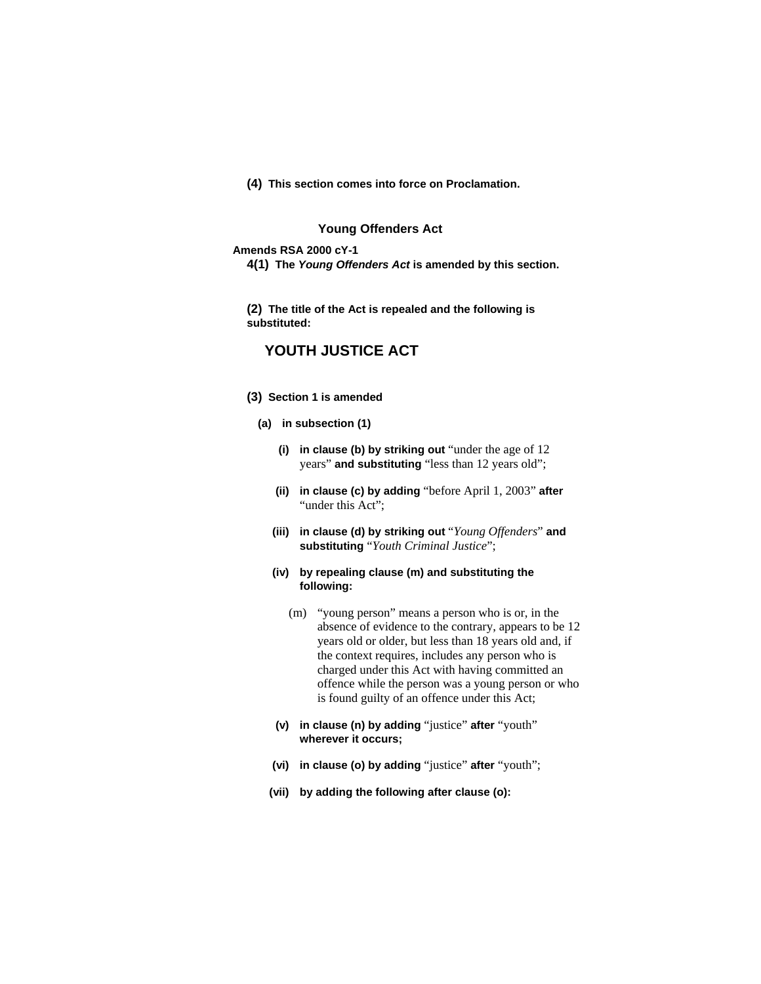**(4) This section comes into force on Proclamation.**

# **Young Offenders Act**

#### **Amends RSA 2000 cY-1**

**4(1) The** *Young Offenders Act* **is amended by this section.** 

**(2) The title of the Act is repealed and the following is substituted:**

# **YOUTH JUSTICE ACT**

- **(3) Section 1 is amended** 
	- **(a) in subsection (1)** 
		- **(i) in clause (b) by striking out** "under the age of 12 years" **and substituting** "less than 12 years old";
		- **(ii) in clause (c) by adding** "before April 1, 2003" **after**  "under this Act":
		- **(iii) in clause (d) by striking out** "*Young Offenders*" **and substituting** "*Youth Criminal Justice*";
		- **(iv) by repealing clause (m) and substituting the following:**
			- (m) "young person" means a person who is or, in the absence of evidence to the contrary, appears to be 12 years old or older, but less than 18 years old and, if the context requires, includes any person who is charged under this Act with having committed an offence while the person was a young person or who is found guilty of an offence under this Act;
		- **(v) in clause (n) by adding** "justice" **after** "youth" **wherever it occurs;**
		- **(vi) in clause (o) by adding** "justice" **after** "youth";
		- **(vii) by adding the following after clause (o):**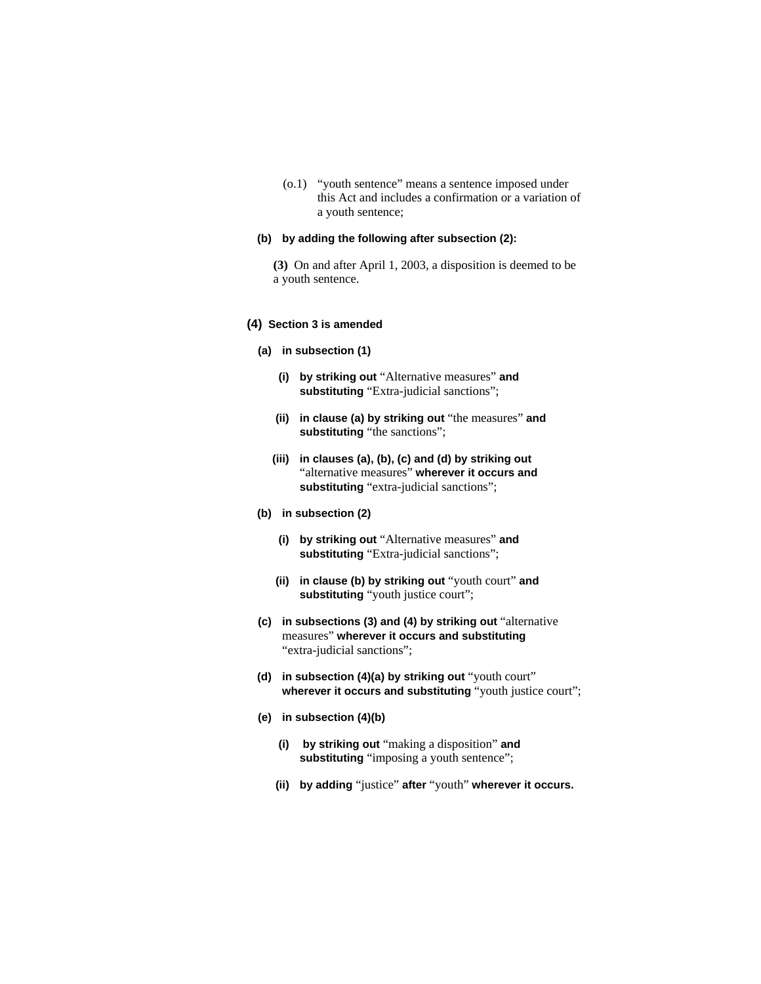(o.1) "youth sentence" means a sentence imposed under this Act and includes a confirmation or a variation of a youth sentence;

#### **(b) by adding the following after subsection (2):**

**(3)** On and after April 1, 2003, a disposition is deemed to be a youth sentence.

### **(4) Section 3 is amended**

- **(a) in subsection (1)** 
	- **(i) by striking out** "Alternative measures" **and substituting** "Extra-judicial sanctions";
	- **(ii) in clause (a) by striking out** "the measures" **and**  substituting "the sanctions";
	- **(iii) in clauses (a), (b), (c) and (d) by striking out**  "alternative measures" **wherever it occurs and substituting** "extra-judicial sanctions";
- **(b) in subsection (2)** 
	- **(i) by striking out** "Alternative measures" **and substituting** "Extra-judicial sanctions";
	- **(ii) in clause (b) by striking out** "youth court" **and substituting** "youth justice court";
- **(c) in subsections (3) and (4) by striking out** "alternative measures" **wherever it occurs and substituting**  "extra-judicial sanctions";
- **(d) in subsection (4)(a) by striking out** "youth court" wherever it occurs and substituting "youth justice court";
- **(e) in subsection (4)(b)**
	- **(i) by striking out** "making a disposition" **and**  substituting "imposing a youth sentence";
	- **(ii) by adding** "justice" **after** "youth" **wherever it occurs.**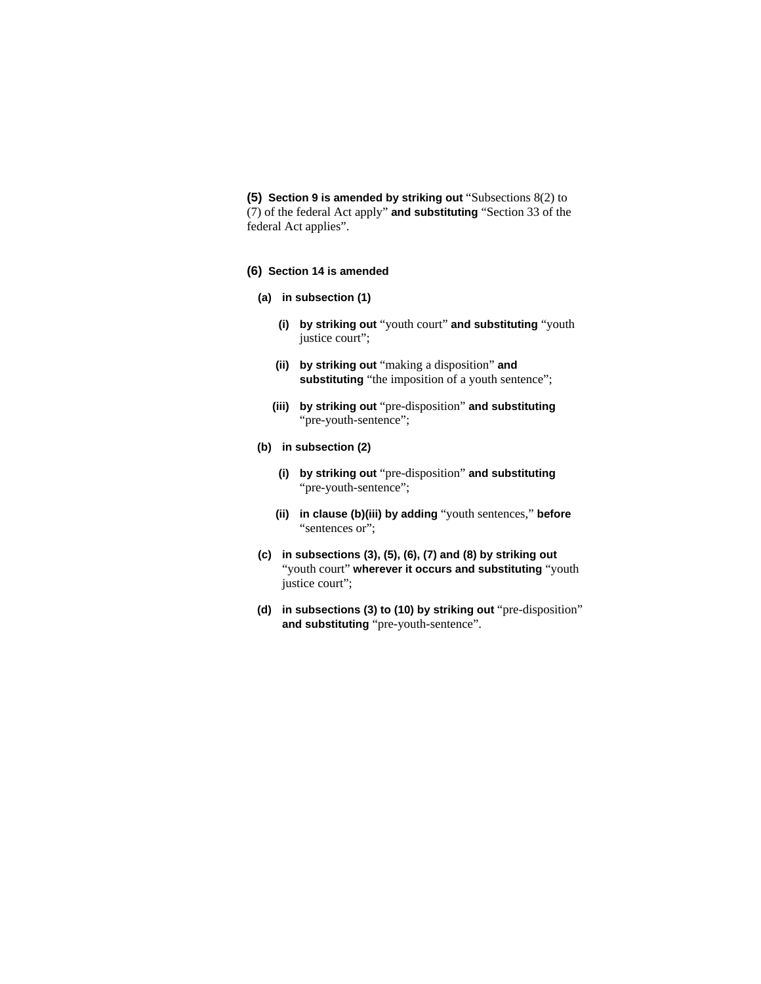**(5) Section 9 is amended by striking out** "Subsections 8(2) to (7) of the federal Act apply" **and substituting** "Section 33 of the federal Act applies".

### **(6) Section 14 is amended**

- **(a) in subsection (1)** 
	- **(i) by striking out** "youth court" **and substituting** "youth justice court";
	- **(ii) by striking out** "making a disposition" **and**  substituting "the imposition of a youth sentence";
	- **(iii) by striking out** "pre-disposition" **and substituting**  "pre-youth-sentence";

# **(b) in subsection (2)**

- **(i) by striking out** "pre-disposition" **and substituting**  "pre-youth-sentence";
- **(ii) in clause (b)(iii) by adding** "youth sentences," **before**  "sentences or";
- **(c) in subsections (3), (5), (6), (7) and (8) by striking out**  "youth court" **wherever it occurs and substituting** "youth justice court";
- **(d) in subsections (3) to (10) by striking out** "pre-disposition" **and substituting** "pre-youth-sentence".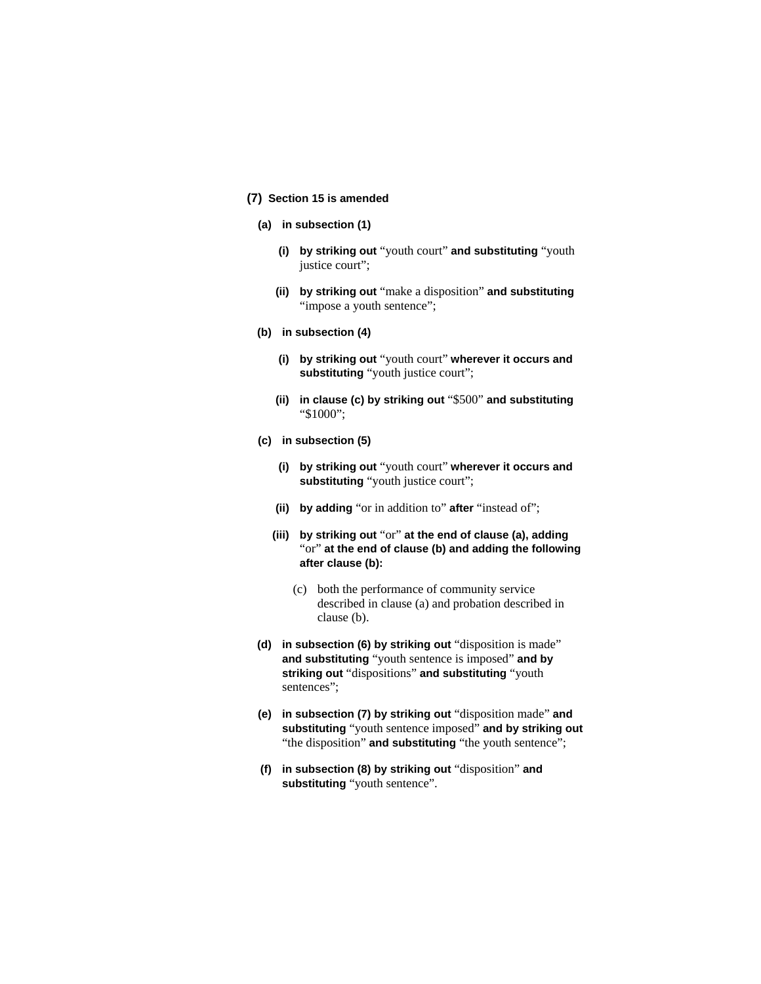# **(7) Section 15 is amended**

- **(a) in subsection (1)** 
	- **(i) by striking out** "youth court" **and substituting** "youth justice court";
	- **(ii) by striking out** "make a disposition" **and substituting**  "impose a youth sentence";
- **(b) in subsection (4)** 
	- **(i) by striking out** "youth court" **wherever it occurs and substituting** "youth justice court";
	- **(ii) in clause (c) by striking out** "\$500" **and substituting**  "\$1000";
- **(c) in subsection (5)** 
	- **(i) by striking out** "youth court" **wherever it occurs and substituting** "youth justice court";
	- **(ii) by adding** "or in addition to" **after** "instead of";
	- **(iii) by striking out** "or" **at the end of clause (a), adding**  "or" **at the end of clause (b) and adding the following after clause (b):**
		- (c) both the performance of community service described in clause (a) and probation described in clause (b).
- **(d) in subsection (6) by striking out** "disposition is made" **and substituting** "youth sentence is imposed" **and by striking out** "dispositions" **and substituting** "youth sentences";
- **(e) in subsection (7) by striking out** "disposition made" **and substituting** "youth sentence imposed" **and by striking out**  "the disposition" **and substituting** "the youth sentence";
- **(f) in subsection (8) by striking out** "disposition" **and substituting** "youth sentence".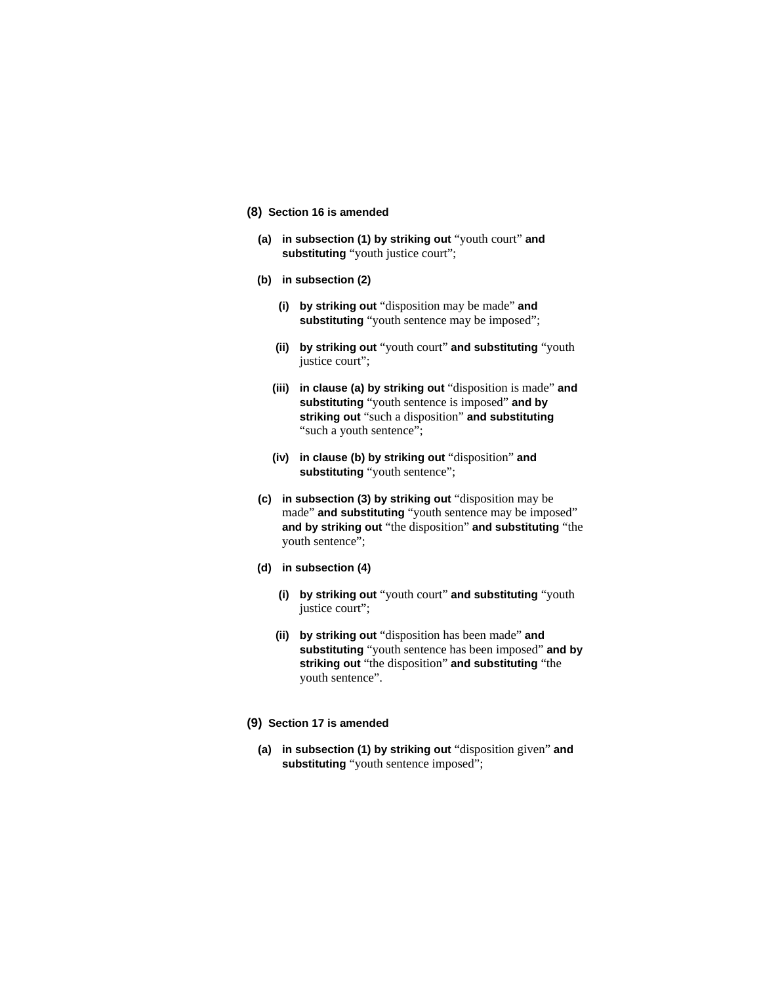- **(8) Section 16 is amended** 
	- **(a) in subsection (1) by striking out** "youth court" **and substituting** "youth justice court";
	- **(b) in subsection (2)** 
		- **(i) by striking out** "disposition may be made" **and substituting** "youth sentence may be imposed";
		- **(ii) by striking out** "youth court" **and substituting** "youth justice court";
		- **(iii) in clause (a) by striking out** "disposition is made" **and substituting** "youth sentence is imposed" **and by striking out** "such a disposition" **and substituting**  "such a youth sentence";
		- **(iv) in clause (b) by striking out** "disposition" **and substituting** "youth sentence";
	- **(c) in subsection (3) by striking out** "disposition may be made" **and substituting** "youth sentence may be imposed" **and by striking out** "the disposition" **and substituting** "the youth sentence";
	- **(d) in subsection (4)** 
		- **(i) by striking out** "youth court" **and substituting** "youth justice court";
		- **(ii) by striking out** "disposition has been made" **and substituting** "youth sentence has been imposed" **and by striking out** "the disposition" **and substituting** "the youth sentence".
- **(9) Section 17 is amended** 
	- **(a) in subsection (1) by striking out** "disposition given" **and substituting** "youth sentence imposed";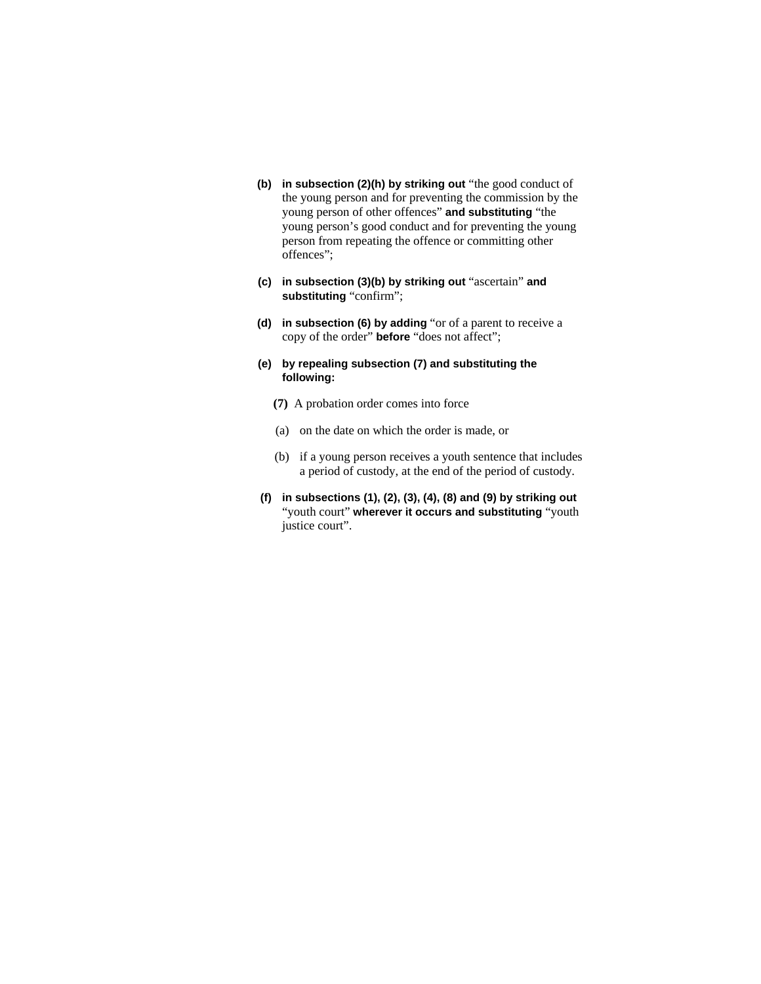- **(b) in subsection (2)(h) by striking out** "the good conduct of the young person and for preventing the commission by the young person of other offences" **and substituting** "the young person's good conduct and for preventing the young person from repeating the offence or committing other offences";
- **(c) in subsection (3)(b) by striking out** "ascertain" **and substituting** "confirm";
- **(d) in subsection (6) by adding** "or of a parent to receive a copy of the order" **before** "does not affect";
- **(e) by repealing subsection (7) and substituting the following:**
	- **(7)** A probation order comes into force
	- (a) on the date on which the order is made, or
	- (b) if a young person receives a youth sentence that includes a period of custody, at the end of the period of custody.
- **(f) in subsections (1), (2), (3), (4), (8) and (9) by striking out**  "youth court" **wherever it occurs and substituting** "youth justice court".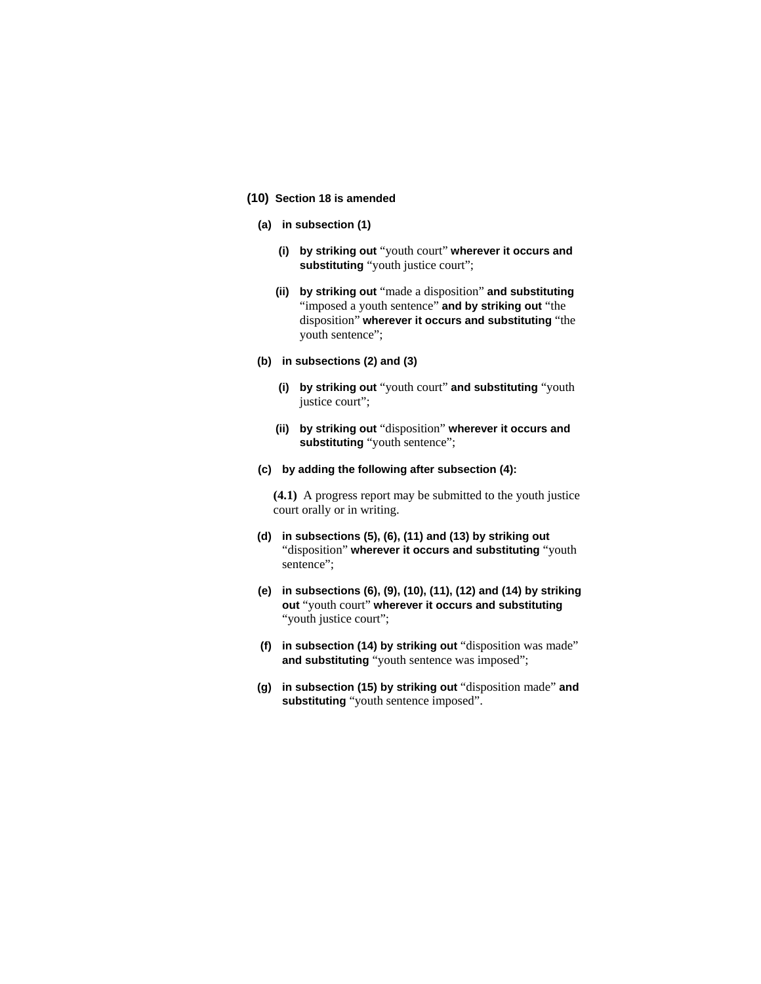# **(10) Section 18 is amended**

- **(a) in subsection (1)** 
	- **(i) by striking out** "youth court" **wherever it occurs and substituting** "youth justice court";
	- **(ii) by striking out** "made a disposition" **and substituting**  "imposed a youth sentence" **and by striking out** "the disposition" **wherever it occurs and substituting** "the youth sentence";
- **(b) in subsections (2) and (3)** 
	- **(i) by striking out** "youth court" **and substituting** "youth justice court";
	- **(ii) by striking out** "disposition" **wherever it occurs and substituting** "youth sentence";
- **(c) by adding the following after subsection (4):**

**(4.1)** A progress report may be submitted to the youth justice court orally or in writing.

- **(d) in subsections (5), (6), (11) and (13) by striking out**  "disposition" **wherever it occurs and substituting** "youth sentence":
- **(e) in subsections (6), (9), (10), (11), (12) and (14) by striking out** "youth court" **wherever it occurs and substituting**  "youth justice court";
- **(f) in subsection (14) by striking out** "disposition was made" **and substituting** "youth sentence was imposed";
- **(g) in subsection (15) by striking out** "disposition made" **and substituting** "youth sentence imposed".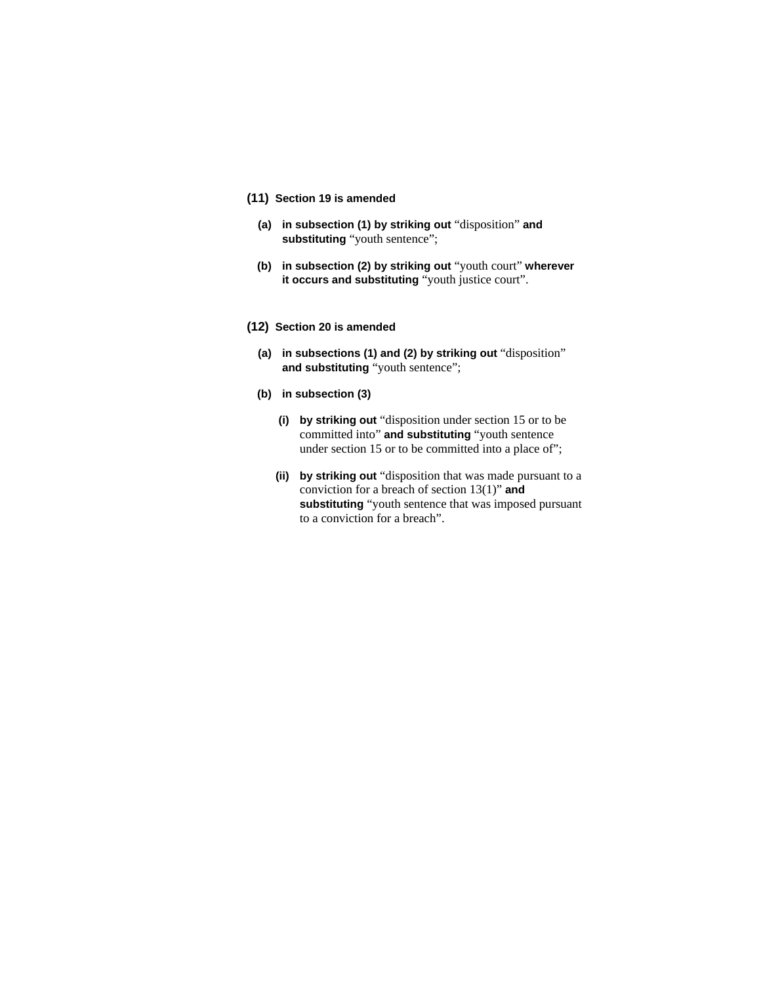# **(11) Section 19 is amended**

- **(a) in subsection (1) by striking out** "disposition" **and substituting** "youth sentence";
- **(b) in subsection (2) by striking out** "youth court" **wherever it occurs and substituting** "youth justice court".

### **(12) Section 20 is amended**

- **(a) in subsections (1) and (2) by striking out** "disposition" **and substituting** "youth sentence";
- **(b) in subsection (3)**
	- **(i) by striking out** "disposition under section 15 or to be committed into" **and substituting** "youth sentence under section 15 or to be committed into a place of";
	- **(ii) by striking out** "disposition that was made pursuant to a conviction for a breach of section 13(1)" **and substituting** "youth sentence that was imposed pursuant to a conviction for a breach".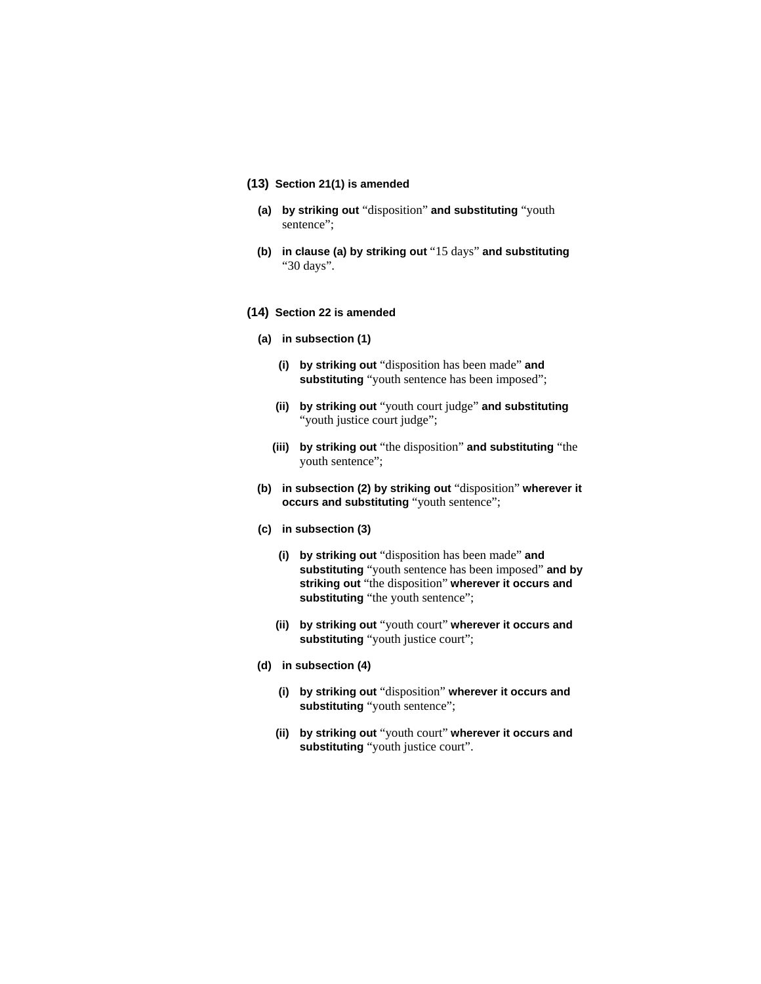# **(13) Section 21(1) is amended**

- **(a) by striking out** "disposition" **and substituting** "youth sentence":
- **(b) in clause (a) by striking out** "15 days" **and substituting**  "30 days".

#### **(14) Section 22 is amended**

- **(a) in subsection (1)**
	- **(i) by striking out** "disposition has been made" **and substituting** "youth sentence has been imposed";
	- **(ii) by striking out** "youth court judge" **and substituting**  "youth justice court judge";
	- **(iii) by striking out** "the disposition" **and substituting** "the youth sentence";
- **(b) in subsection (2) by striking out** "disposition" **wherever it occurs and substituting** "youth sentence";
- **(c) in subsection (3)** 
	- **(i) by striking out** "disposition has been made" **and substituting** "youth sentence has been imposed" **and by striking out** "the disposition" **wherever it occurs and**  substituting "the youth sentence";
	- **(ii) by striking out** "youth court" **wherever it occurs and substituting** "youth justice court";
- **(d) in subsection (4)** 
	- **(i) by striking out** "disposition" **wherever it occurs and substituting** "youth sentence";
	- **(ii) by striking out** "youth court" **wherever it occurs and substituting** "youth justice court".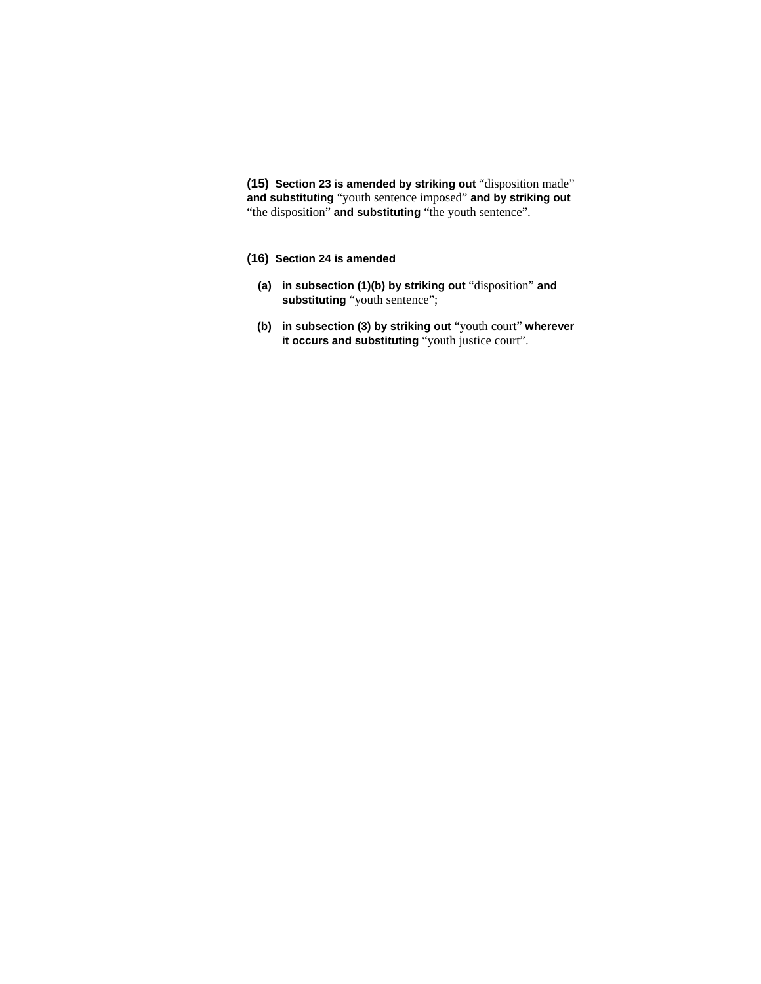**(15) Section 23 is amended by striking out** "disposition made" **and substituting** "youth sentence imposed" **and by striking out**  "the disposition" **and substituting** "the youth sentence".

# **(16) Section 24 is amended**

- **(a) in subsection (1)(b) by striking out** "disposition" **and substituting** "youth sentence";
- **(b) in subsection (3) by striking out** "youth court" **wherever it occurs and substituting** "youth justice court".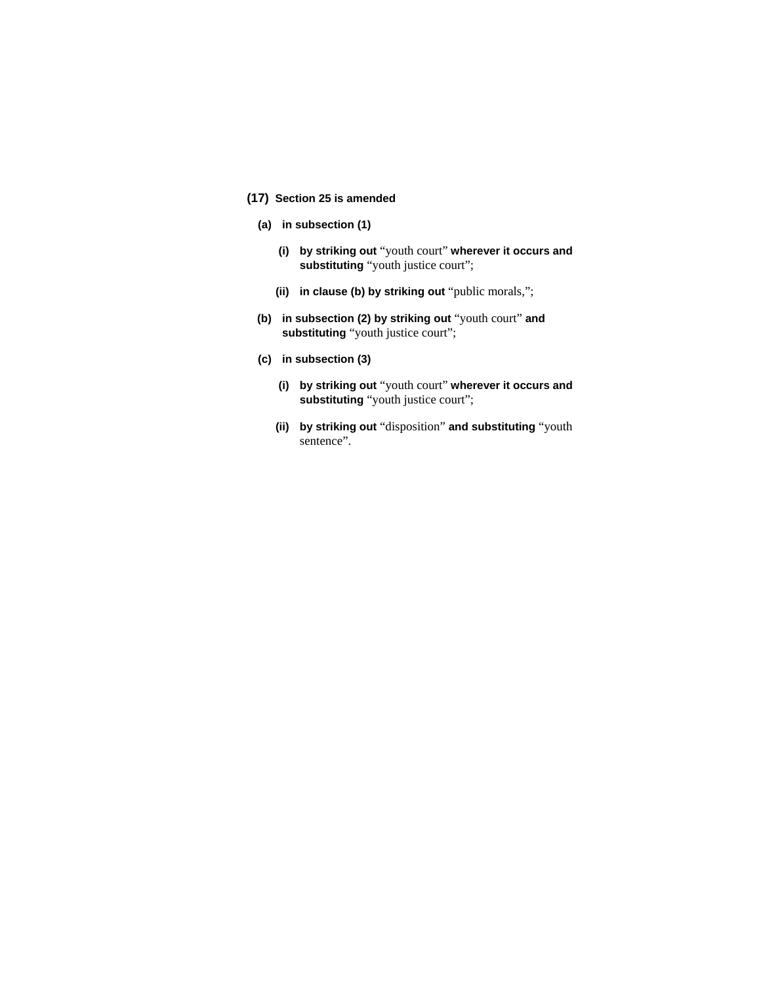# **(17) Section 25 is amended**

- **(a) in subsection (1)** 
	- **(i) by striking out** "youth court" **wherever it occurs and substituting** "youth justice court";
	- **(ii) in clause (b) by striking out** "public morals,";
- **(b) in subsection (2) by striking out** "youth court" **and substituting** "youth justice court";
- **(c) in subsection (3)** 
	- **(i) by striking out** "youth court" **wherever it occurs and substituting** "youth justice court";
	- **(ii) by striking out** "disposition" **and substituting** "youth sentence".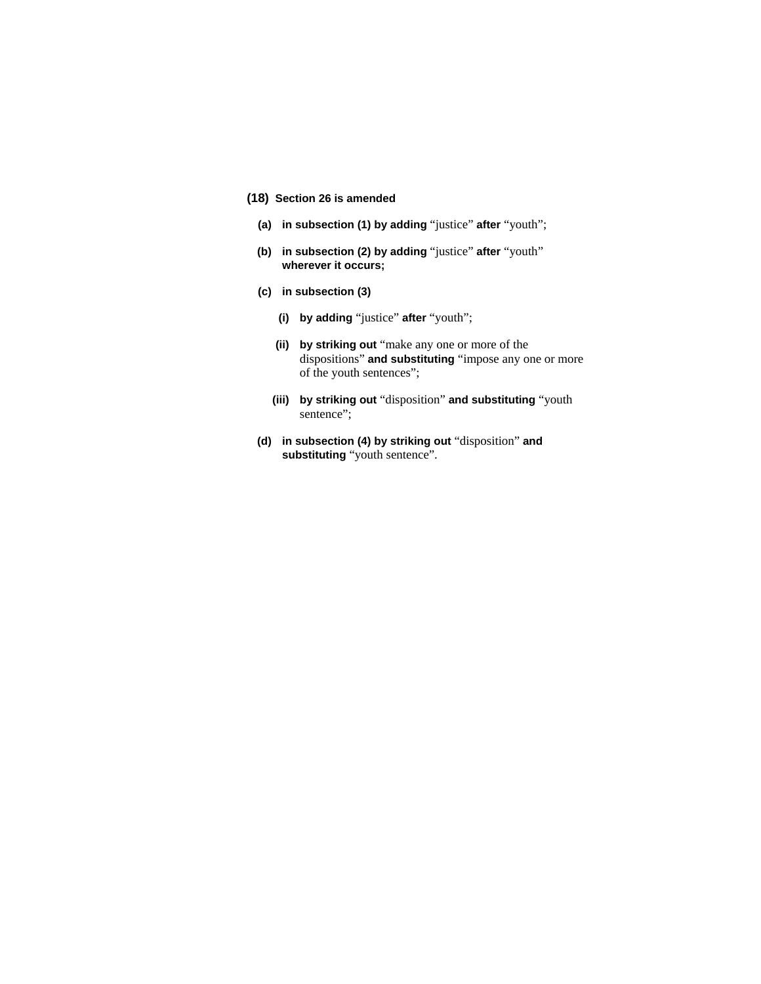# **(18) Section 26 is amended**

- **(a) in subsection (1) by adding** "justice" **after** "youth";
- **(b) in subsection (2) by adding** "justice" **after** "youth" **wherever it occurs;**
- **(c) in subsection (3)** 
	- **(i) by adding** "justice" **after** "youth";
	- **(ii) by striking out** "make any one or more of the dispositions" **and substituting** "impose any one or more of the youth sentences";
	- **(iii) by striking out** "disposition" **and substituting** "youth sentence";
- **(d) in subsection (4) by striking out** "disposition" **and substituting** "youth sentence".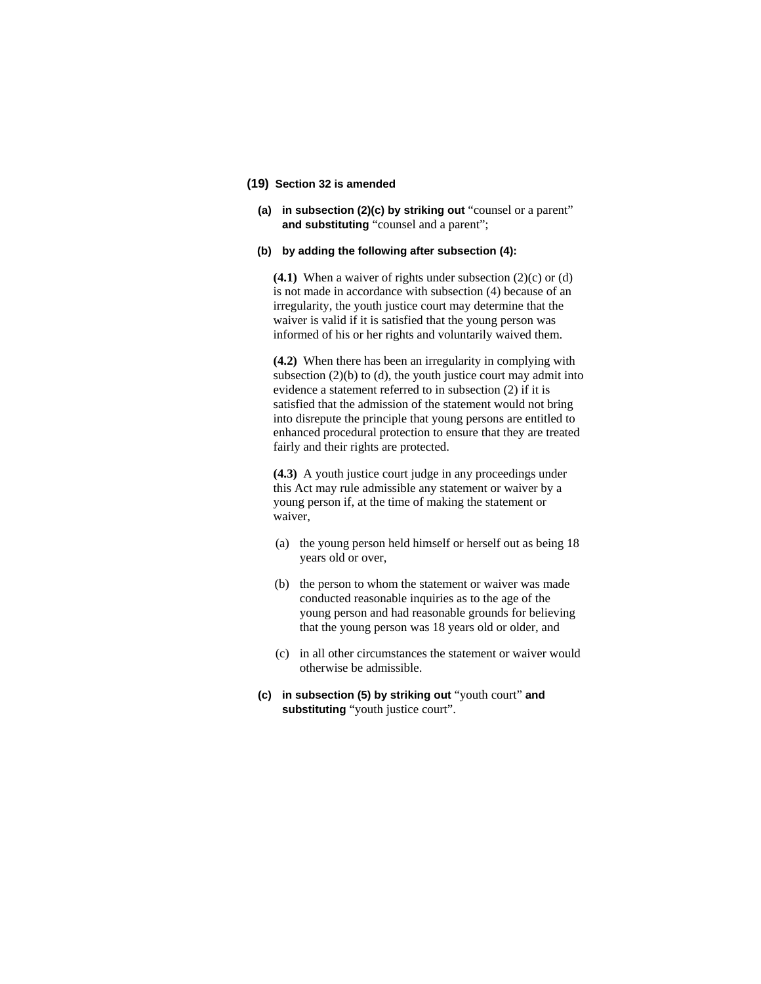# **(19) Section 32 is amended**

**(a) in subsection (2)(c) by striking out** "counsel or a parent" **and substituting** "counsel and a parent";

#### **(b) by adding the following after subsection (4):**

**(4.1)** When a waiver of rights under subsection (2)(c) or (d) is not made in accordance with subsection (4) because of an irregularity, the youth justice court may determine that the waiver is valid if it is satisfied that the young person was informed of his or her rights and voluntarily waived them.

**(4.2)** When there has been an irregularity in complying with subsection  $(2)(b)$  to  $(d)$ , the youth justice court may admit into evidence a statement referred to in subsection (2) if it is satisfied that the admission of the statement would not bring into disrepute the principle that young persons are entitled to enhanced procedural protection to ensure that they are treated fairly and their rights are protected.

**(4.3)** A youth justice court judge in any proceedings under this Act may rule admissible any statement or waiver by a young person if, at the time of making the statement or waiver,

- (a) the young person held himself or herself out as being 18 years old or over,
- (b) the person to whom the statement or waiver was made conducted reasonable inquiries as to the age of the young person and had reasonable grounds for believing that the young person was 18 years old or older, and
- (c) in all other circumstances the statement or waiver would otherwise be admissible.
- **(c) in subsection (5) by striking out** "youth court" **and substituting** "youth justice court".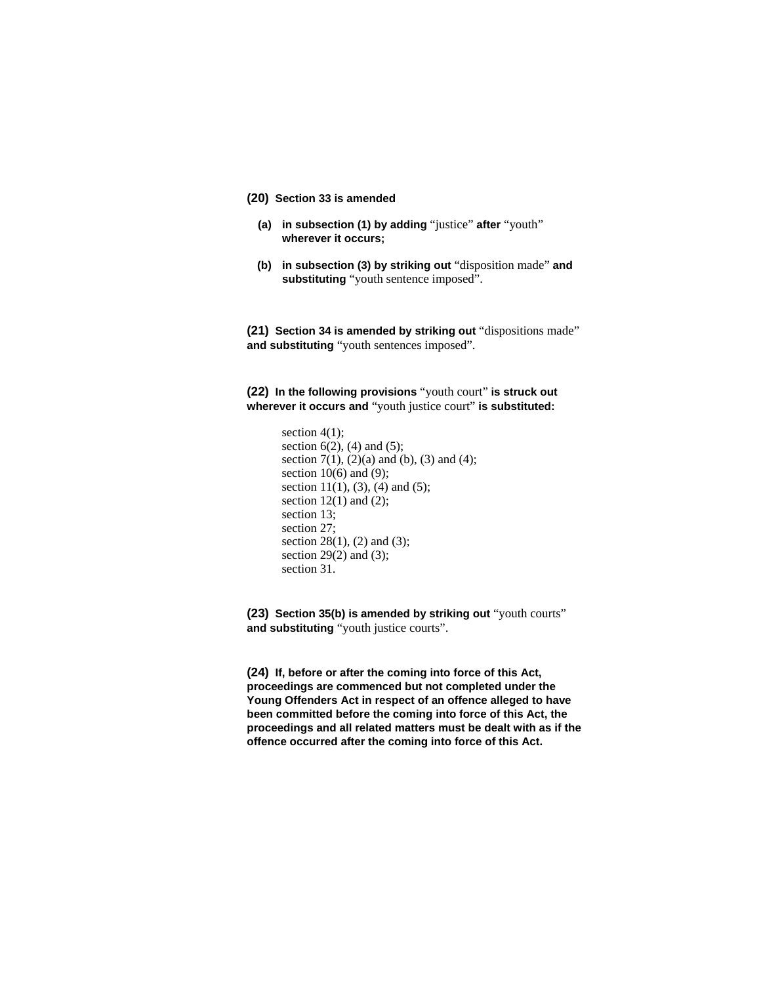# **(20) Section 33 is amended**

- **(a) in subsection (1) by adding** "justice" **after** "youth" **wherever it occurs;**
- **(b) in subsection (3) by striking out** "disposition made" **and substituting** "youth sentence imposed".

**(21) Section 34 is amended by striking out** "dispositions made" **and substituting** "youth sentences imposed".

**(22) In the following provisions** "youth court" **is struck out wherever it occurs and** "youth justice court" **is substituted:** 

```
section 4(1);
section 6(2), (4) and (5);
section 7(1), (2)(a) and (b), (3) and (4);
section 10(6) and (9);
section 11(1), (3), (4) and (5);
section 12(1) and (2);
section 13; 
section 27; 
section 28(1), (2) and (3);
section 29(2) and (3);
section 31.
```
**(23) Section 35(b) is amended by striking out** "youth courts" **and substituting** "youth justice courts".

**(24) If, before or after the coming into force of this Act, proceedings are commenced but not completed under the Young Offenders Act in respect of an offence alleged to have been committed before the coming into force of this Act, the proceedings and all related matters must be dealt with as if the offence occurred after the coming into force of this Act.**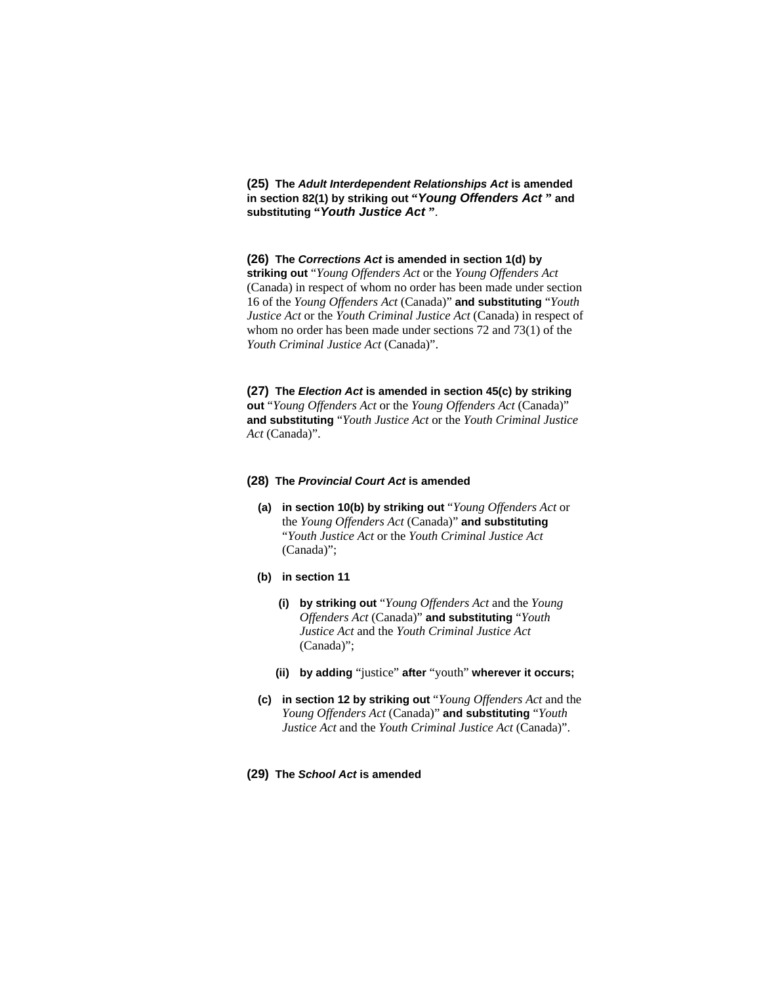**(25) The** *Adult Interdependent Relationships Act* **is amended in section 82(1) by striking out "***Young Offenders Act* **" and substituting "***Youth Justice Act* **"**.

### **(26) The** *Corrections Act* **is amended in section 1(d) by**

**striking out** "*Young Offenders Act* or the *Young Offenders Act* (Canada) in respect of whom no order has been made under section 16 of the *Young Offenders Act* (Canada)" **and substituting** "*Youth Justice Act* or the *Youth Criminal Justice Act* (Canada) in respect of whom no order has been made under sections 72 and 73(1) of the *Youth Criminal Justice Act* (Canada)".

**(27) The** *Election Act* **is amended in section 45(c) by striking out** "*Young Offenders Act* or the *Young Offenders Act* (Canada)" **and substituting** "*Youth Justice Act* or the *Youth Criminal Justice Act* (Canada)".

#### **(28) The** *Provincial Court Act* **is amended**

**(a) in section 10(b) by striking out** "*Young Offenders Act* or the *Young Offenders Act* (Canada)" **and substituting**  "*Youth Justice Act* or the *Youth Criminal Justice Act* (Canada)";

#### **(b) in section 11**

- **(i) by striking out** "*Young Offenders Act* and the *Young Offenders Act* (Canada)" **and substituting** "*Youth Justice Act* and the *Youth Criminal Justice Act* (Canada)";
- **(ii) by adding** "justice" **after** "youth" **wherever it occurs;**
- **(c) in section 12 by striking out** "*Young Offenders Act* and the *Young Offenders Act* (Canada)" **and substituting** "*Youth Justice Act* and the *Youth Criminal Justice Act* (Canada)".

# **(29) The** *School Act* **is amended**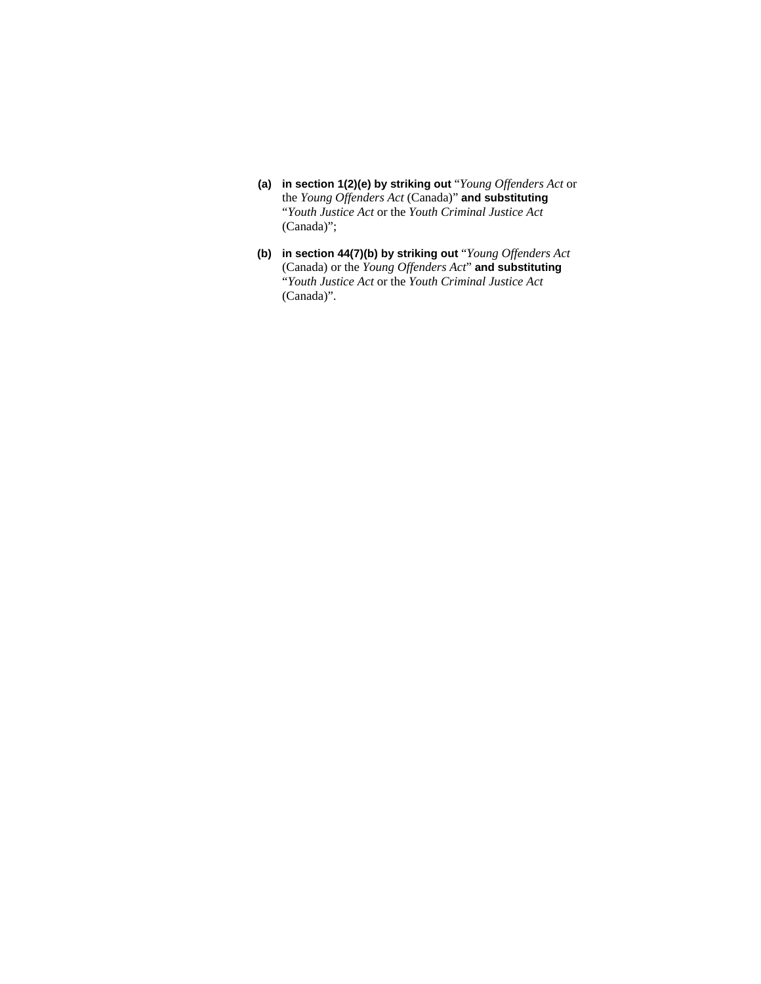- **(a) in section 1(2)(e) by striking out** "*Young Offenders Act* or the *Young Offenders Act* (Canada)" **and substituting**  "*Youth Justice Act* or the *Youth Criminal Justice Act* (Canada)";
- **(b) in section 44(7)(b) by striking out** "*Young Offenders Act* (Canada) or the *Young Offenders Act*" **and substituting**  "*Youth Justice Act* or the *Youth Criminal Justice Act* (Canada)".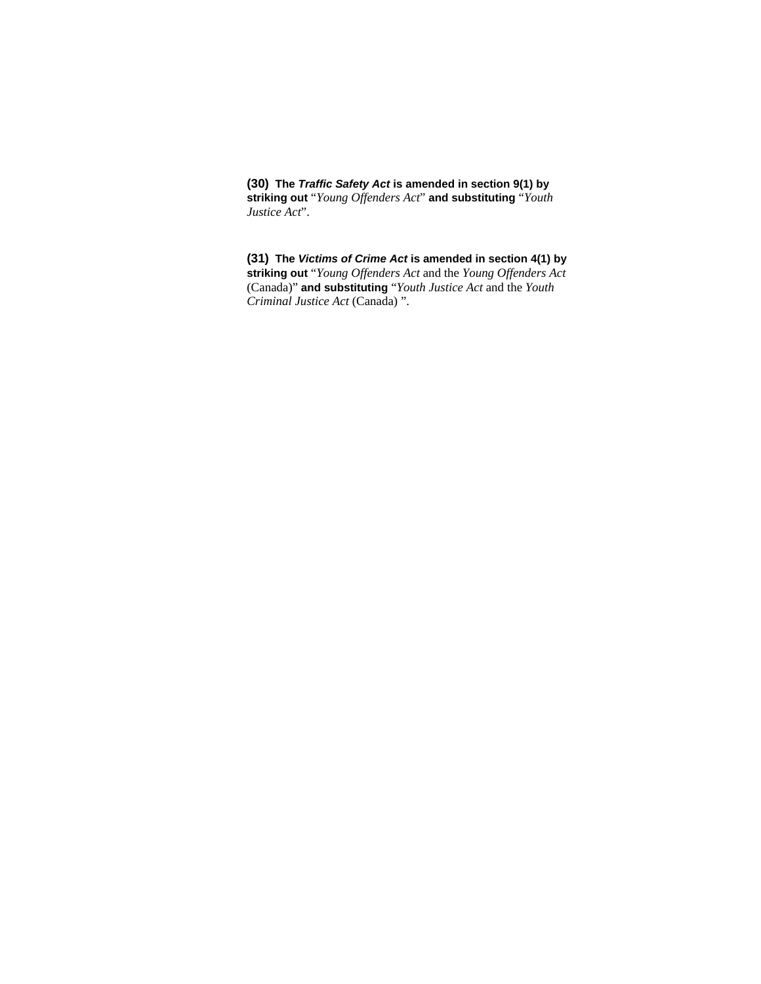**(30) The** *Traffic Safety Act* **is amended in section 9(1) by striking out** "*Young Offenders Act*" **and substituting** "*Youth Justice Act*".

**(31) The** *Victims of Crime Act* **is amended in section 4(1) by striking out** "*Young Offenders Act* and the *Young Offenders Act* (Canada)" **and substituting** "*Youth Justice Act* and the *Youth Criminal Justice Act* (Canada) ".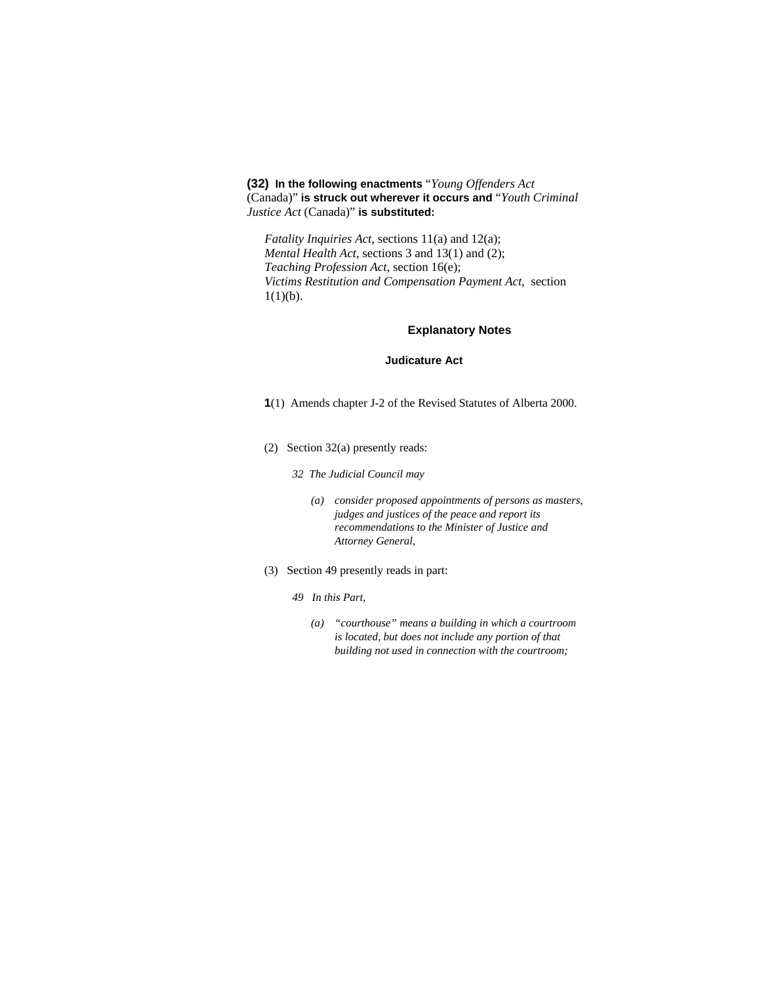**(32) In the following enactments** "*Young Offenders Act* (Canada)" **is struck out wherever it occurs and** "*Youth Criminal Justice Act* (Canada)" **is substituted:**

*Fatality Inquiries Act*, sections 11(a) and 12(a); *Mental Health Act*, sections 3 and 13(1) and (2); *Teaching Profession Act*, section 16(e); *Victims Restitution and Compensation Payment Act*, section  $1(1)(b)$ .

# **Explanatory Notes**

#### **Judicature Act**

- **1**(1) Amends chapter J-2 of the Revised Statutes of Alberta 2000.
- (2) Section 32(a) presently reads:
	- *32 The Judicial Council may* 
		- *(a) consider proposed appointments of persons as masters, judges and justices of the peace and report its recommendations to the Minister of Justice and Attorney General,*
- (3) Section 49 presently reads in part:
	- *49 In this Part,* 
		- *(a) "courthouse" means a building in which a courtroom is located, but does not include any portion of that building not used in connection with the courtroom;*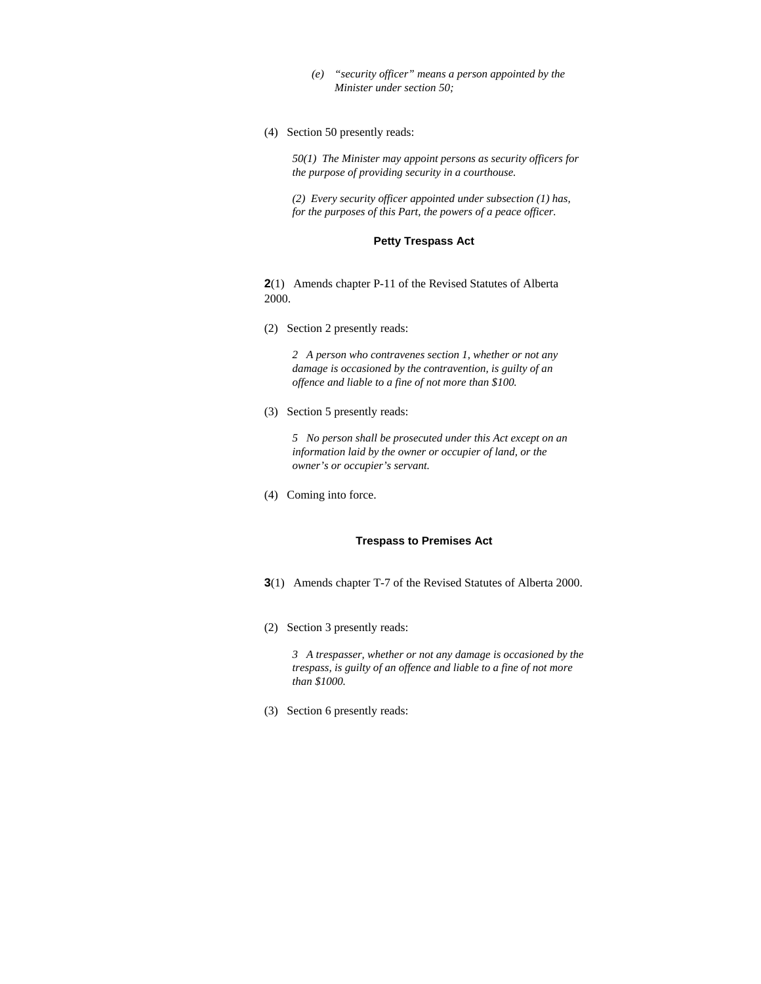- *(e) "security officer" means a person appointed by the Minister under section 50;*
- (4) Section 50 presently reads:

*50(1) The Minister may appoint persons as security officers for the purpose of providing security in a courthouse.* 

*(2) Every security officer appointed under subsection (1) has, for the purposes of this Part, the powers of a peace officer.* 

# **Petty Trespass Act**

**2**(1) Amends chapter P-11 of the Revised Statutes of Alberta 2000.

(2) Section 2 presently reads:

*2 A person who contravenes section 1, whether or not any damage is occasioned by the contravention, is guilty of an offence and liable to a fine of not more than \$100.* 

(3) Section 5 presently reads:

*5 No person shall be prosecuted under this Act except on an information laid by the owner or occupier of land, or the owner's or occupier's servant.* 

(4) Coming into force.

### **Trespass to Premises Act**

- **3**(1) Amends chapter T-7 of the Revised Statutes of Alberta 2000.
- (2) Section 3 presently reads:

*3 A trespasser, whether or not any damage is occasioned by the trespass, is guilty of an offence and liable to a fine of not more than \$1000.* 

(3) Section 6 presently reads: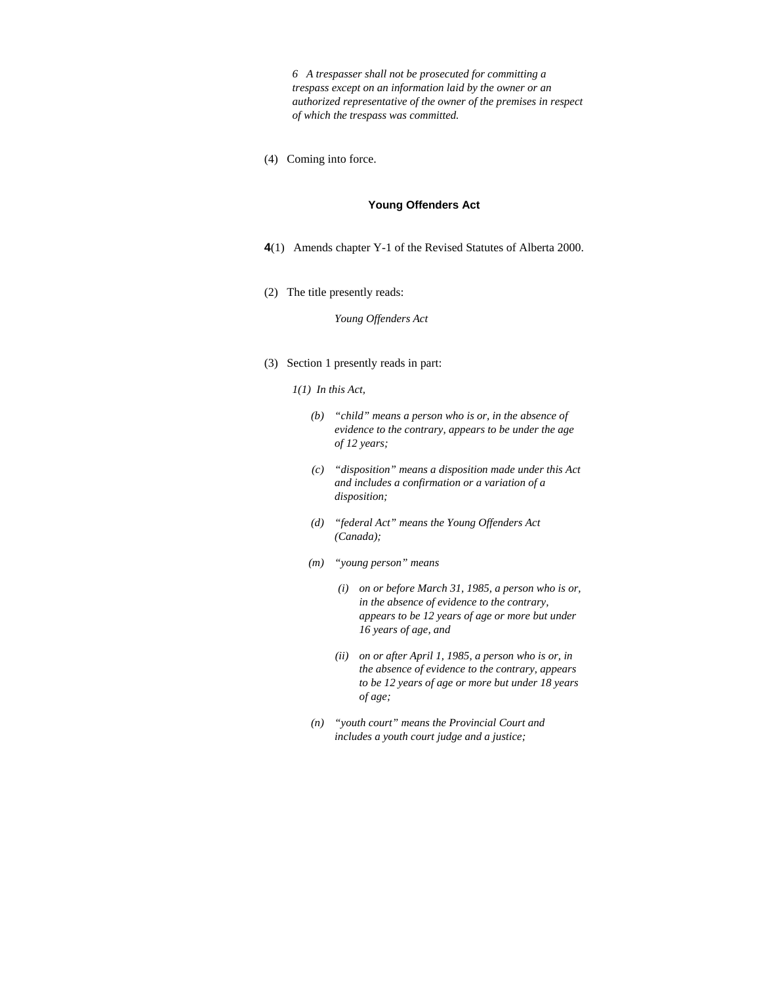*6 A trespasser shall not be prosecuted for committing a trespass except on an information laid by the owner or an authorized representative of the owner of the premises in respect of which the trespass was committed.* 

(4) Coming into force.

#### **Young Offenders Act**

- **4**(1) Amends chapter Y-1 of the Revised Statutes of Alberta 2000.
- (2) The title presently reads:

### *Young Offenders Act*

(3) Section 1 presently reads in part:

### *1(1) In this Act,*

- *(b) "child" means a person who is or, in the absence of evidence to the contrary, appears to be under the age of 12 years;*
- *(c) "disposition" means a disposition made under this Act and includes a confirmation or a variation of a disposition;*
- *(d) "federal Act" means the Young Offenders Act (Canada);*
- *(m) "young person" means* 
	- *(i) on or before March 31, 1985, a person who is or, in the absence of evidence to the contrary, appears to be 12 years of age or more but under 16 years of age, and*
	- *(ii) on or after April 1, 1985, a person who is or, in the absence of evidence to the contrary, appears to be 12 years of age or more but under 18 years of age;*
- *(n) "youth court" means the Provincial Court and includes a youth court judge and a justice;*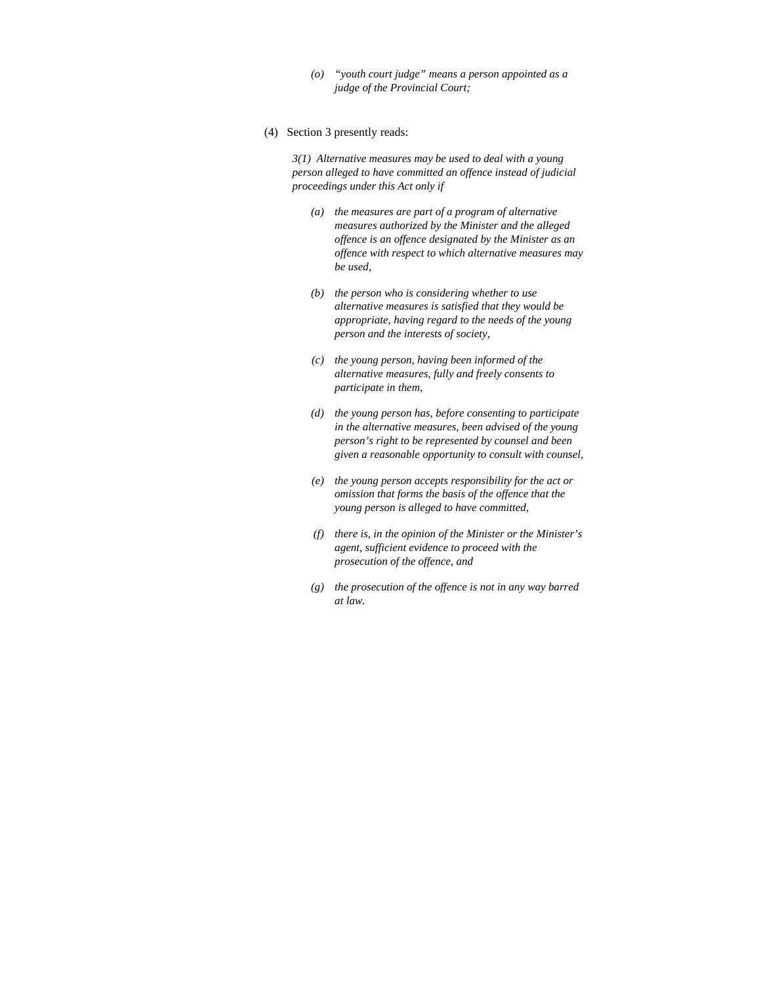- *(o) "youth court judge" means a person appointed as a judge of the Provincial Court;*
- (4) Section 3 presently reads:

*3(1) Alternative measures may be used to deal with a young person alleged to have committed an offence instead of judicial proceedings under this Act only if* 

- *(a) the measures are part of a program of alternative measures authorized by the Minister and the alleged offence is an offence designated by the Minister as an offence with respect to which alternative measures may be used,*
- *(b) the person who is considering whether to use alternative measures is satisfied that they would be appropriate, having regard to the needs of the young person and the interests of society,*
- *(c) the young person, having been informed of the alternative measures, fully and freely consents to participate in them,*
- *(d) the young person has, before consenting to participate in the alternative measures, been advised of the young person's right to be represented by counsel and been given a reasonable opportunity to consult with counsel,*
- *(e) the young person accepts responsibility for the act or omission that forms the basis of the offence that the young person is alleged to have committed,*
- *(f) there is, in the opinion of the Minister or the Minister's agent, sufficient evidence to proceed with the prosecution of the offence, and*
- *(g) the prosecution of the offence is not in any way barred at law.*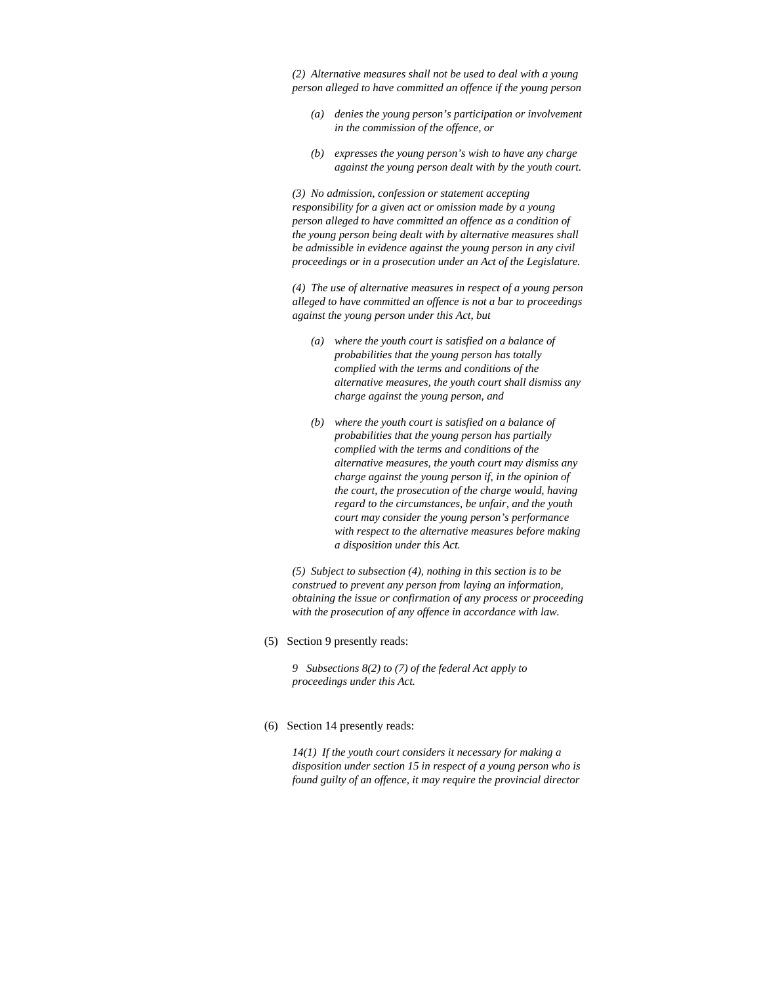*(2) Alternative measures shall not be used to deal with a young person alleged to have committed an offence if the young person* 

- *(a) denies the young person's participation or involvement in the commission of the offence, or*
- *(b) expresses the young person's wish to have any charge against the young person dealt with by the youth court.*

*(3) No admission, confession or statement accepting responsibility for a given act or omission made by a young person alleged to have committed an offence as a condition of the young person being dealt with by alternative measures shall be admissible in evidence against the young person in any civil proceedings or in a prosecution under an Act of the Legislature.* 

*(4) The use of alternative measures in respect of a young person alleged to have committed an offence is not a bar to proceedings against the young person under this Act, but* 

- *(a) where the youth court is satisfied on a balance of probabilities that the young person has totally complied with the terms and conditions of the alternative measures, the youth court shall dismiss any charge against the young person, and*
- *(b) where the youth court is satisfied on a balance of probabilities that the young person has partially complied with the terms and conditions of the alternative measures, the youth court may dismiss any charge against the young person if, in the opinion of the court, the prosecution of the charge would, having regard to the circumstances, be unfair, and the youth court may consider the young person's performance with respect to the alternative measures before making a disposition under this Act.*

*(5) Subject to subsection (4), nothing in this section is to be construed to prevent any person from laying an information, obtaining the issue or confirmation of any process or proceeding with the prosecution of any offence in accordance with law.* 

(5) Section 9 presently reads:

*9 Subsections 8(2) to (7) of the federal Act apply to proceedings under this Act.* 

(6) Section 14 presently reads:

*14(1) If the youth court considers it necessary for making a disposition under section 15 in respect of a young person who is found guilty of an offence, it may require the provincial director*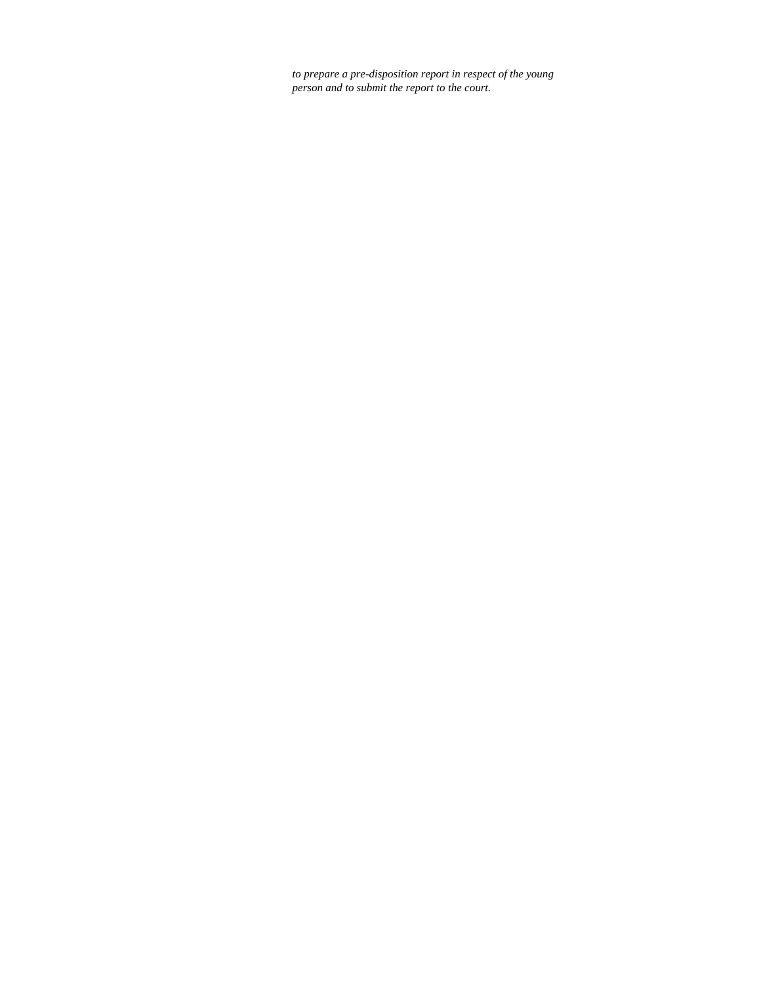*to prepare a pre-disposition report in respect of the young person and to submit the report to the court.*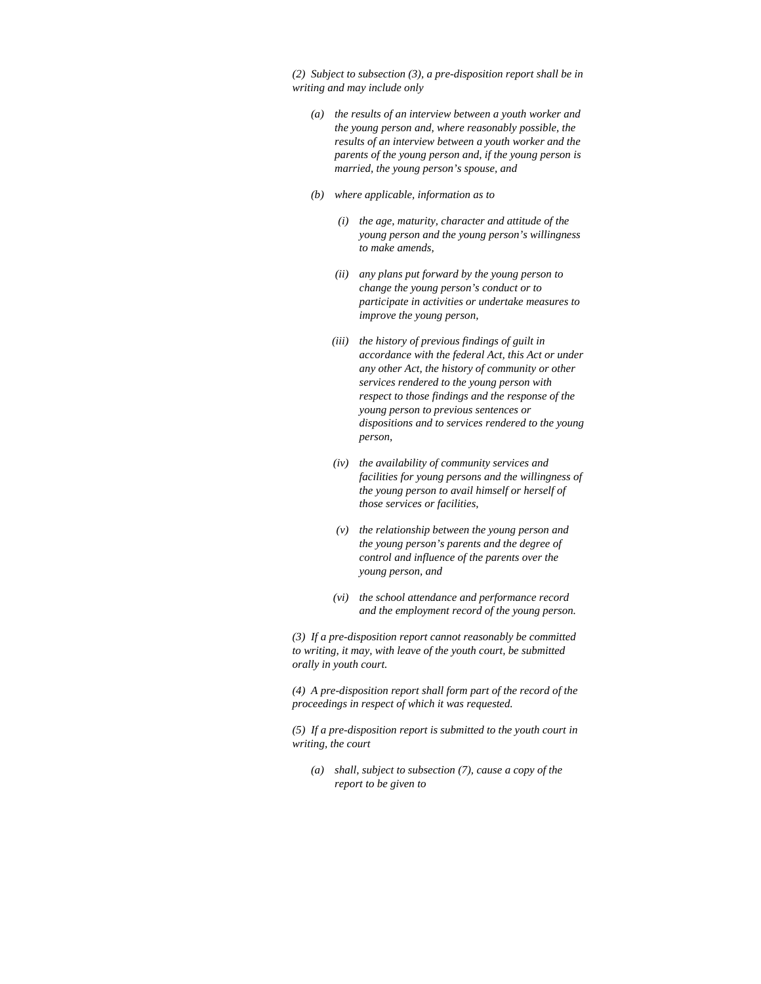*(2) Subject to subsection (3), a pre-disposition report shall be in writing and may include only* 

- *(a) the results of an interview between a youth worker and the young person and, where reasonably possible, the results of an interview between a youth worker and the parents of the young person and, if the young person is married, the young person's spouse, and*
- *(b) where applicable, information as to* 
	- *(i) the age, maturity, character and attitude of the young person and the young person's willingness to make amends,*
	- *(ii) any plans put forward by the young person to change the young person's conduct or to participate in activities or undertake measures to improve the young person,*
	- *(iii) the history of previous findings of guilt in accordance with the federal Act, this Act or under any other Act, the history of community or other services rendered to the young person with respect to those findings and the response of the young person to previous sentences or dispositions and to services rendered to the young person,*
	- *(iv) the availability of community services and facilities for young persons and the willingness of the young person to avail himself or herself of those services or facilities,*
	- *(v) the relationship between the young person and the young person's parents and the degree of control and influence of the parents over the young person, and*
	- *(vi) the school attendance and performance record and the employment record of the young person.*

*(3) If a pre-disposition report cannot reasonably be committed to writing, it may, with leave of the youth court, be submitted orally in youth court.* 

*(4) A pre-disposition report shall form part of the record of the proceedings in respect of which it was requested.* 

*(5) If a pre-disposition report is submitted to the youth court in writing, the court* 

 *(a) shall, subject to subsection (7), cause a copy of the report to be given to*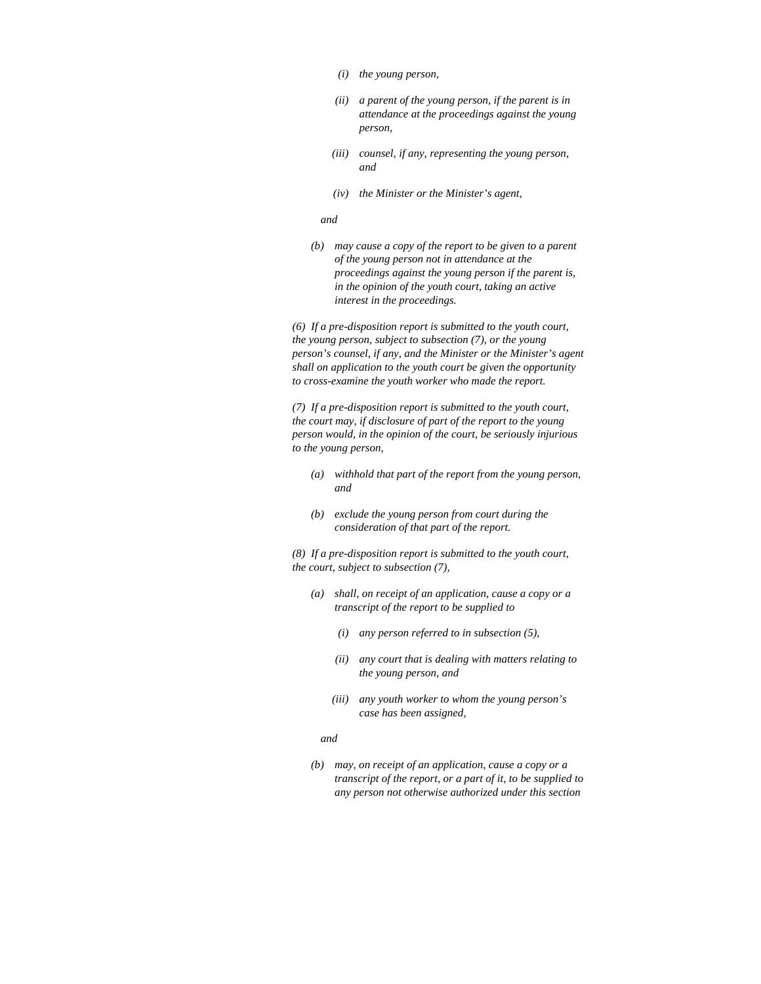- *(i) the young person,*
- *(ii) a parent of the young person, if the parent is in attendance at the proceedings against the young person,*
- *(iii) counsel, if any, representing the young person, and*
- *(iv) the Minister or the Minister's agent,*

#### *and*

*(b) may cause a copy of the report to be given to a parent of the young person not in attendance at the proceedings against the young person if the parent is, in the opinion of the youth court, taking an active interest in the proceedings.* 

*(6) If a pre-disposition report is submitted to the youth court, the young person, subject to subsection (7), or the young person's counsel, if any, and the Minister or the Minister's agent shall on application to the youth court be given the opportunity to cross-examine the youth worker who made the report.* 

*(7) If a pre-disposition report is submitted to the youth court, the court may, if disclosure of part of the report to the young person would, in the opinion of the court, be seriously injurious to the young person,* 

- *(a) withhold that part of the report from the young person, and*
- *(b) exclude the young person from court during the consideration of that part of the report.*

*(8) If a pre-disposition report is submitted to the youth court, the court, subject to subsection (7),* 

- *(a) shall, on receipt of an application, cause a copy or a transcript of the report to be supplied to* 
	- *(i) any person referred to in subsection (5),*
	- *(ii) any court that is dealing with matters relating to the young person, and*
	- *(iii) any youth worker to whom the young person's case has been assigned,*

#### *and and*

*(b) may, on receipt of an application, cause a copy or a transcript of the report, or a part of it, to be supplied to any person not otherwise authorized under this section*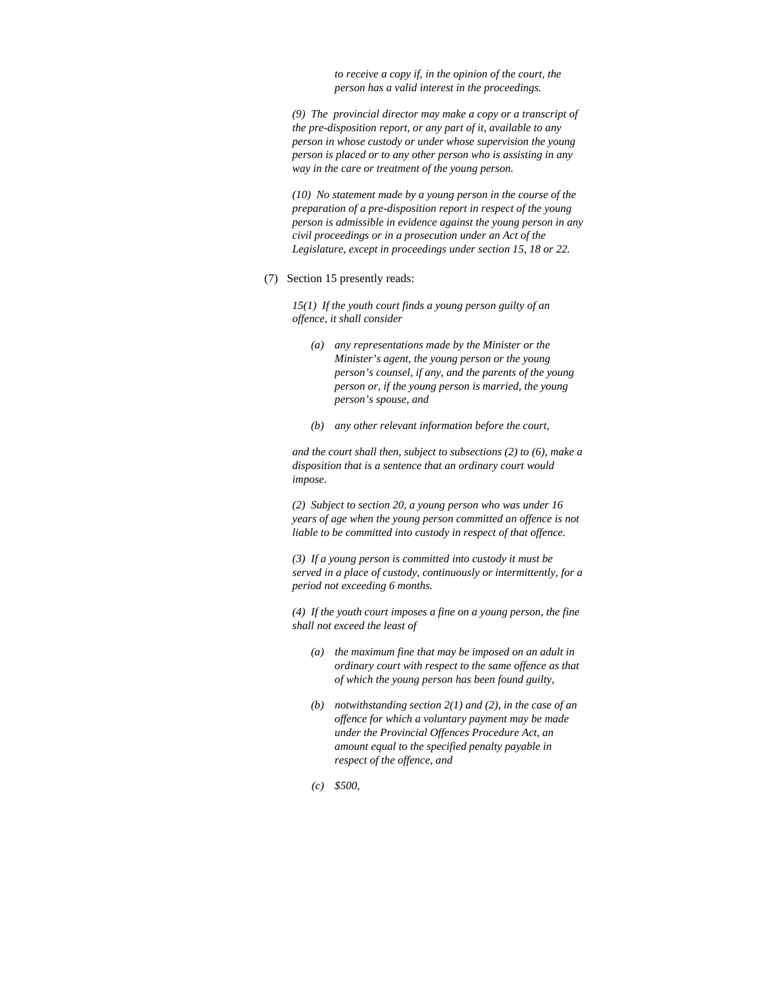*to receive a copy if, in the opinion of the court, the person has a valid interest in the proceedings.* 

*(9) The provincial director may make a copy or a transcript of the pre-disposition report, or any part of it, available to any person in whose custody or under whose supervision the young person is placed or to any other person who is assisting in any way in the care or treatment of the young person.* 

*(10) No statement made by a young person in the course of the preparation of a pre-disposition report in respect of the young person is admissible in evidence against the young person in any civil proceedings or in a prosecution under an Act of the Legislature, except in proceedings under section 15, 18 or 22.* 

(7) Section 15 presently reads:

*15(1) If the youth court finds a young person guilty of an offence, it shall consider* 

- *(a) any representations made by the Minister or the Minister's agent, the young person or the young person's counsel, if any, and the parents of the young person or, if the young person is married, the young person's spouse, and*
- *(b) any other relevant information before the court,*

*and the court shall then, subject to subsections (2) to (6), make a disposition that is a sentence that an ordinary court would impose.* 

*(2) Subject to section 20, a young person who was under 16 years of age when the young person committed an offence is not liable to be committed into custody in respect of that offence.* 

*(3) If a young person is committed into custody it must be served in a place of custody, continuously or intermittently, for a period not exceeding 6 months.* 

*(4) If the youth court imposes a fine on a young person, the fine shall not exceed the least of* 

- *(a) the maximum fine that may be imposed on an adult in ordinary court with respect to the same offence as that of which the young person has been found guilty,*
- *(b) notwithstanding section 2(1) and (2), in the case of an offence for which a voluntary payment may be made under the Provincial Offences Procedure Act, an amount equal to the specified penalty payable in respect of the offence, and*
- *(c) \$500,*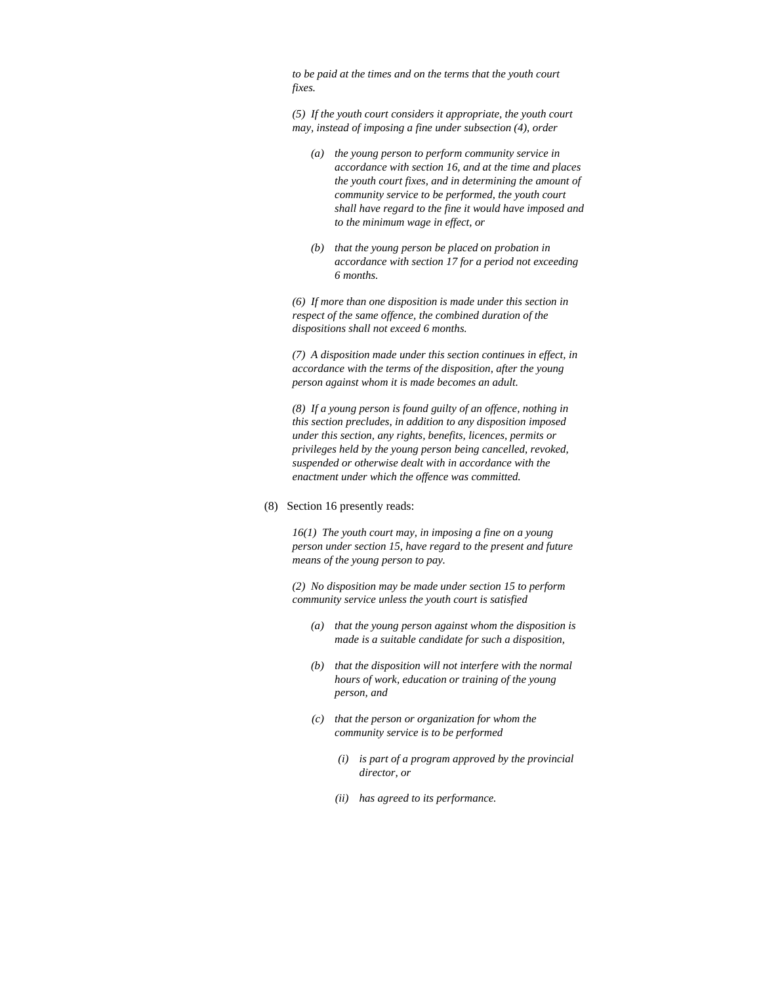*to be paid at the times and on the terms that the youth court fixes.* 

*(5) If the youth court considers it appropriate, the youth court may, instead of imposing a fine under subsection (4), order* 

- *(a) the young person to perform community service in accordance with section 16, and at the time and places the youth court fixes, and in determining the amount of community service to be performed, the youth court shall have regard to the fine it would have imposed and to the minimum wage in effect, or*
- *(b) that the young person be placed on probation in accordance with section 17 for a period not exceeding 6 months.*

*(6) If more than one disposition is made under this section in respect of the same offence, the combined duration of the dispositions shall not exceed 6 months.* 

*(7) A disposition made under this section continues in effect, in accordance with the terms of the disposition, after the young person against whom it is made becomes an adult.* 

*(8) If a young person is found guilty of an offence, nothing in this section precludes, in addition to any disposition imposed under this section, any rights, benefits, licences, permits or privileges held by the young person being cancelled, revoked, suspended or otherwise dealt with in accordance with the enactment under which the offence was committed.* 

(8) Section 16 presently reads:

*16(1) The youth court may, in imposing a fine on a young person under section 15, have regard to the present and future means of the young person to pay.* 

*(2) No disposition may be made under section 15 to perform community service unless the youth court is satisfied* 

- *(a) that the young person against whom the disposition is made is a suitable candidate for such a disposition,*
- *(b) that the disposition will not interfere with the normal hours of work, education or training of the young person, and*
- *(c) that the person or organization for whom the community service is to be performed* 
	- *(i) is part of a program approved by the provincial director, or*
	- *(ii) has agreed to its performance.*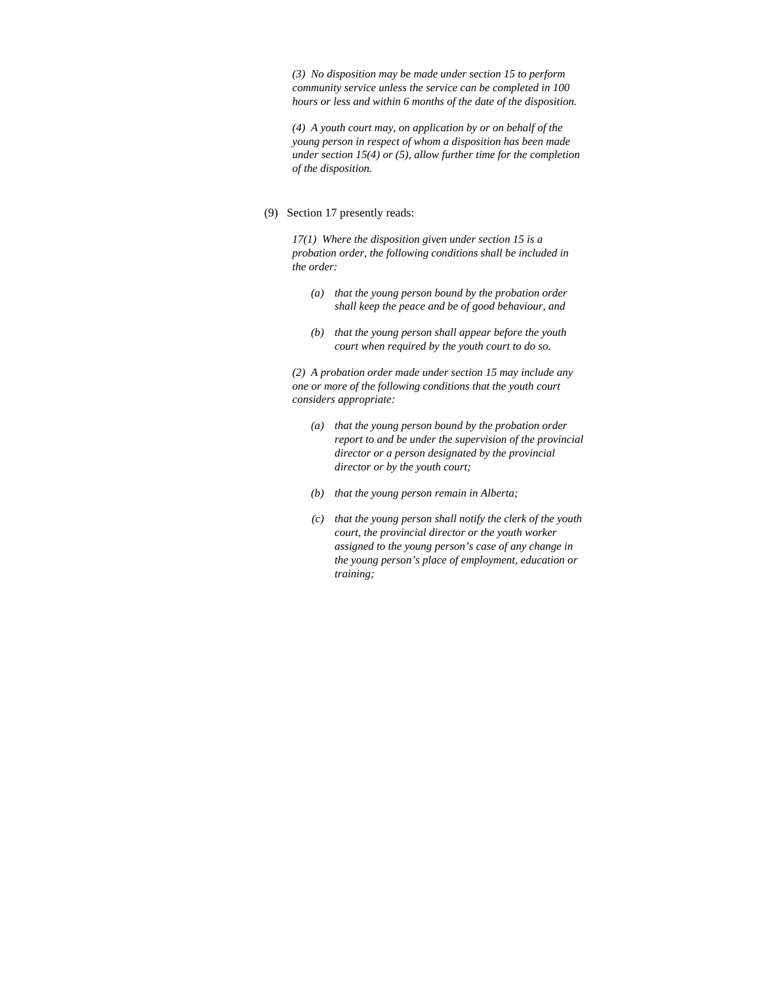*(3) No disposition may be made under section 15 to perform community service unless the service can be completed in 100 hours or less and within 6 months of the date of the disposition.* 

*(4) A youth court may, on application by or on behalf of the young person in respect of whom a disposition has been made under section 15(4) or (5), allow further time for the completion of the disposition.* 

(9) Section 17 presently reads:

*17(1) Where the disposition given under section 15 is a probation order, the following conditions shall be included in the order:* 

- *(a) that the young person bound by the probation order shall keep the peace and be of good behaviour, and*
- *(b) that the young person shall appear before the youth court when required by the youth court to do so.*

*(2) A probation order made under section 15 may include any one or more of the following conditions that the youth court considers appropriate:* 

- *(a) that the young person bound by the probation order report to and be under the supervision of the provincial director or a person designated by the provincial director or by the youth court;*
- *(b) that the young person remain in Alberta;*
- *(c) that the young person shall notify the clerk of the youth court, the provincial director or the youth worker assigned to the young person's case of any change in the young person's place of employment, education or training;*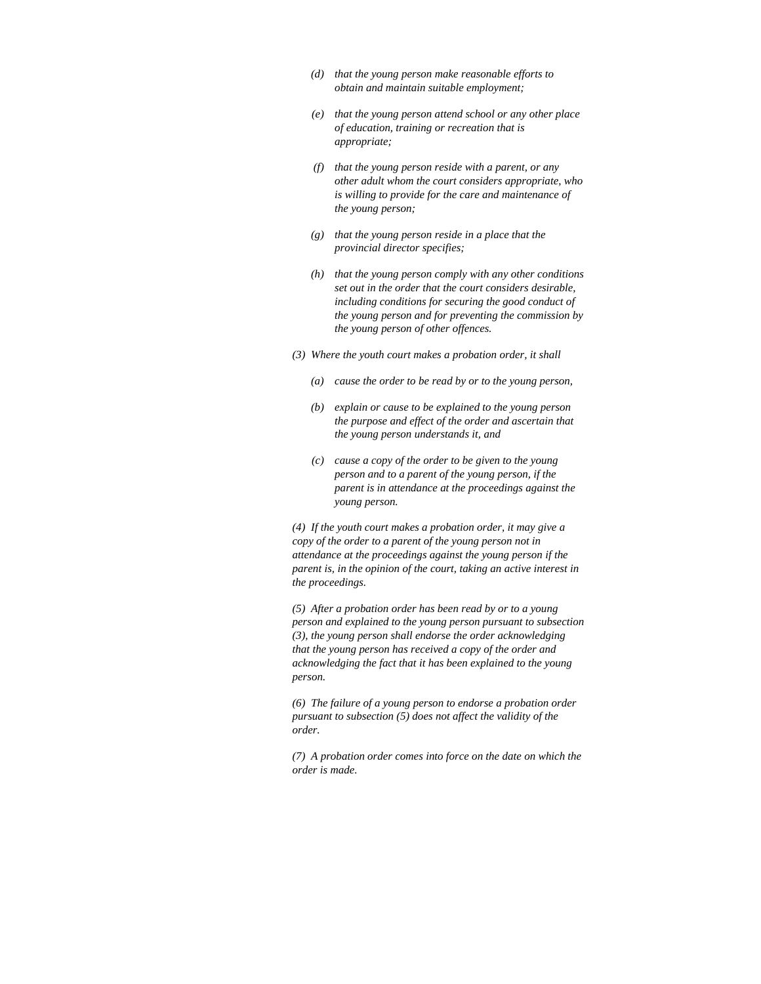- *(d) that the young person make reasonable efforts to obtain and maintain suitable employment;*
- *(e) that the young person attend school or any other place of education, training or recreation that is appropriate;*
- *(f) that the young person reside with a parent, or any other adult whom the court considers appropriate, who is willing to provide for the care and maintenance of the young person;*
- *(g) that the young person reside in a place that the provincial director specifies;*
- *(h) that the young person comply with any other conditions set out in the order that the court considers desirable, including conditions for securing the good conduct of the young person and for preventing the commission by the young person of other offences.*
- *(3) Where the youth court makes a probation order, it shall* 
	- *(a) cause the order to be read by or to the young person,*
	- *(b) explain or cause to be explained to the young person the purpose and effect of the order and ascertain that the young person understands it, and*
	- *(c) cause a copy of the order to be given to the young person and to a parent of the young person, if the parent is in attendance at the proceedings against the young person.*

*(4) If the youth court makes a probation order, it may give a copy of the order to a parent of the young person not in attendance at the proceedings against the young person if the parent is, in the opinion of the court, taking an active interest in the proceedings.* 

*(5) After a probation order has been read by or to a young person and explained to the young person pursuant to subsection (3), the young person shall endorse the order acknowledging that the young person has received a copy of the order and acknowledging the fact that it has been explained to the young person.* 

*(6) The failure of a young person to endorse a probation order pursuant to subsection (5) does not affect the validity of the order.* 

*(7) A probation order comes into force on the date on which the order is made.*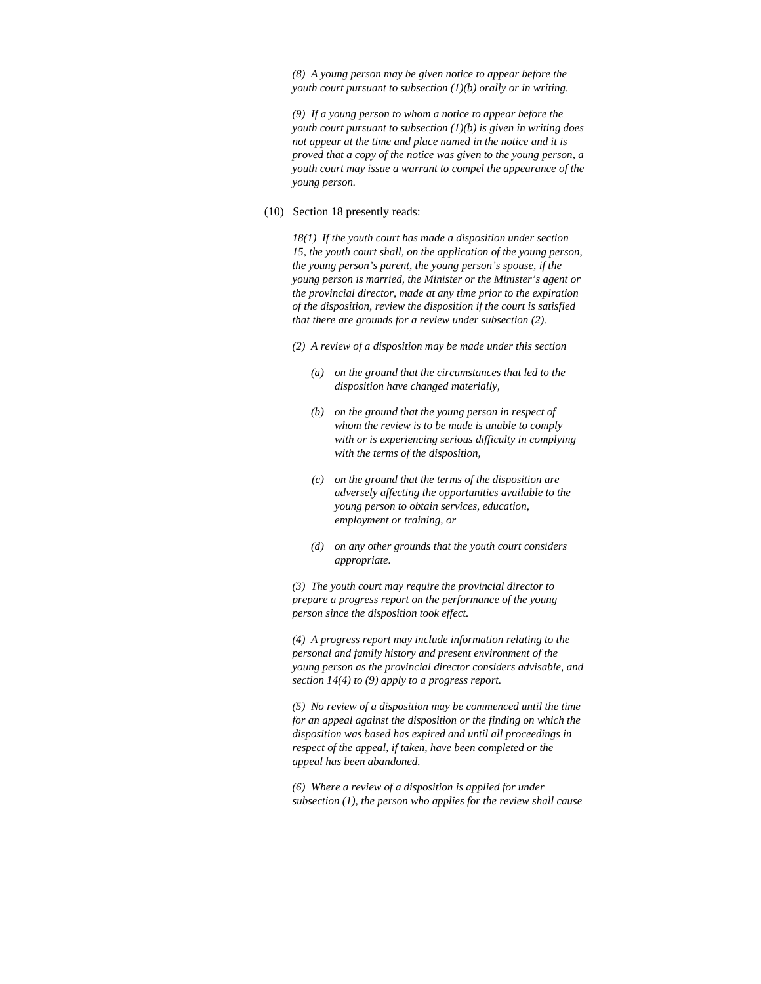*(8) A young person may be given notice to appear before the youth court pursuant to subsection (1)(b) orally or in writing.* 

*(9) If a young person to whom a notice to appear before the youth court pursuant to subsection (1)(b) is given in writing does not appear at the time and place named in the notice and it is proved that a copy of the notice was given to the young person, a youth court may issue a warrant to compel the appearance of the young person.* 

#### (10) Section 18 presently reads:

*18(1) If the youth court has made a disposition under section 15, the youth court shall, on the application of the young person, the young person's parent, the young person's spouse, if the young person is married, the Minister or the Minister's agent or the provincial director, made at any time prior to the expiration of the disposition, review the disposition if the court is satisfied that there are grounds for a review under subsection (2).* 

- *(2) A review of a disposition may be made under this section* 
	- *(a) on the ground that the circumstances that led to the disposition have changed materially,*
	- *(b) on the ground that the young person in respect of whom the review is to be made is unable to comply with or is experiencing serious difficulty in complying with the terms of the disposition,*
	- *(c) on the ground that the terms of the disposition are adversely affecting the opportunities available to the young person to obtain services, education, employment or training, or*
	- *(d) on any other grounds that the youth court considers appropriate.*

*(3) The youth court may require the provincial director to prepare a progress report on the performance of the young person since the disposition took effect.* 

*(4) A progress report may include information relating to the personal and family history and present environment of the young person as the provincial director considers advisable, and section 14(4) to (9) apply to a progress report.* 

*(5) No review of a disposition may be commenced until the time for an appeal against the disposition or the finding on which the disposition was based has expired and until all proceedings in respect of the appeal, if taken, have been completed or the appeal has been abandoned.* 

*(6) Where a review of a disposition is applied for under subsection (1), the person who applies for the review shall cause*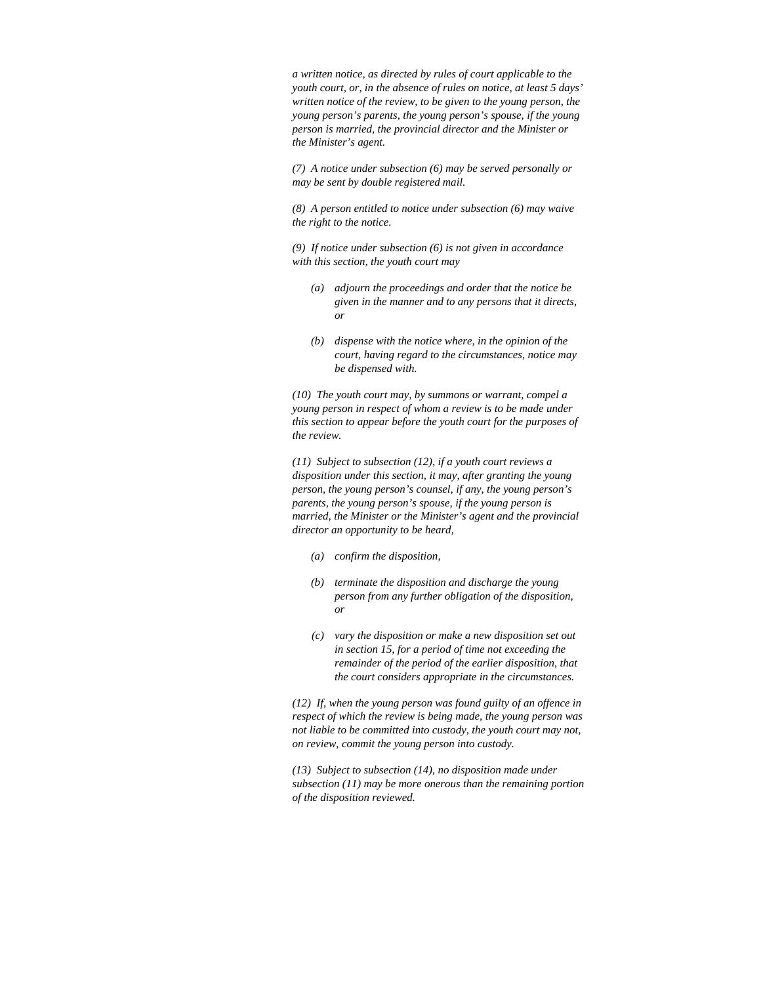*a written notice, as directed by rules of court applicable to the youth court, or, in the absence of rules on notice, at least 5 days' written notice of the review, to be given to the young person, the young person's parents, the young person's spouse, if the young person is married, the provincial director and the Minister or the Minister's agent.* 

*(7) A notice under subsection (6) may be served personally or may be sent by double registered mail.* 

*(8) A person entitled to notice under subsection (6) may waive the right to the notice.* 

*(9) If notice under subsection (6) is not given in accordance with this section, the youth court may* 

- *(a) adjourn the proceedings and order that the notice be given in the manner and to any persons that it directs, or*
- *(b) dispense with the notice where, in the opinion of the court, having regard to the circumstances, notice may be dispensed with.*

*(10) The youth court may, by summons or warrant, compel a young person in respect of whom a review is to be made under this section to appear before the youth court for the purposes of the review.* 

*(11) Subject to subsection (12), if a youth court reviews a disposition under this section, it may, after granting the young person, the young person's counsel, if any, the young person's parents, the young person's spouse, if the young person is married, the Minister or the Minister's agent and the provincial director an opportunity to be heard,* 

- *(a) confirm the disposition,*
- *(b) terminate the disposition and discharge the young person from any further obligation of the disposition, or*
- *(c) vary the disposition or make a new disposition set out in section 15, for a period of time not exceeding the remainder of the period of the earlier disposition, that the court considers appropriate in the circumstances.*

*(12) If, when the young person was found guilty of an offence in respect of which the review is being made, the young person was not liable to be committed into custody, the youth court may not, on review, commit the young person into custody.* 

*(13) Subject to subsection (14), no disposition made under subsection (11) may be more onerous than the remaining portion of the disposition reviewed.*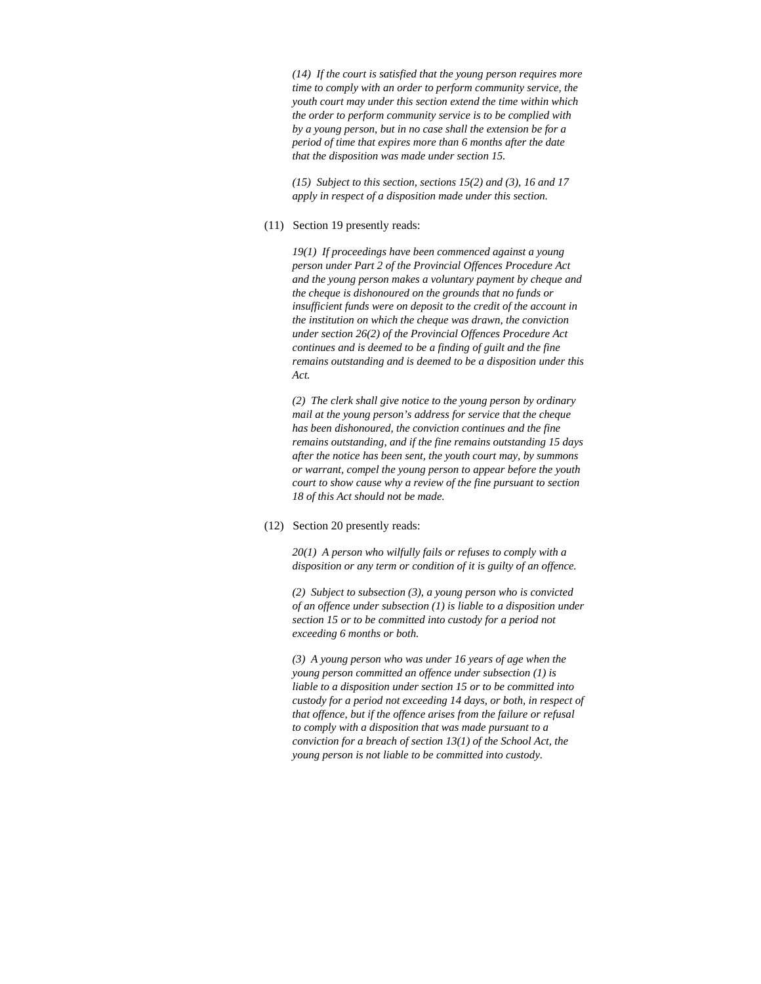*(14) If the court is satisfied that the young person requires more time to comply with an order to perform community service, the youth court may under this section extend the time within which the order to perform community service is to be complied with by a young person, but in no case shall the extension be for a period of time that expires more than 6 months after the date that the disposition was made under section 15.* 

*(15) Subject to this section, sections 15(2) and (3), 16 and 17 apply in respect of a disposition made under this section.* 

### (11) Section 19 presently reads:

*19(1) If proceedings have been commenced against a young person under Part 2 of the Provincial Offences Procedure Act and the young person makes a voluntary payment by cheque and the cheque is dishonoured on the grounds that no funds or insufficient funds were on deposit to the credit of the account in the institution on which the cheque was drawn, the conviction under section 26(2) of the Provincial Offences Procedure Act continues and is deemed to be a finding of guilt and the fine remains outstanding and is deemed to be a disposition under this Act.* 

*(2) The clerk shall give notice to the young person by ordinary mail at the young person's address for service that the cheque has been dishonoured, the conviction continues and the fine remains outstanding, and if the fine remains outstanding 15 days after the notice has been sent, the youth court may, by summons or warrant, compel the young person to appear before the youth court to show cause why a review of the fine pursuant to section 18 of this Act should not be made.* 

# (12) Section 20 presently reads:

*20(1) A person who wilfully fails or refuses to comply with a disposition or any term or condition of it is guilty of an offence.* 

*(2) Subject to subsection (3), a young person who is convicted of an offence under subsection (1) is liable to a disposition under section 15 or to be committed into custody for a period not exceeding 6 months or both.* 

*(3) A young person who was under 16 years of age when the young person committed an offence under subsection (1) is liable to a disposition under section 15 or to be committed into custody for a period not exceeding 14 days, or both, in respect of that offence, but if the offence arises from the failure or refusal to comply with a disposition that was made pursuant to a conviction for a breach of section 13(1) of the School Act, the young person is not liable to be committed into custody.*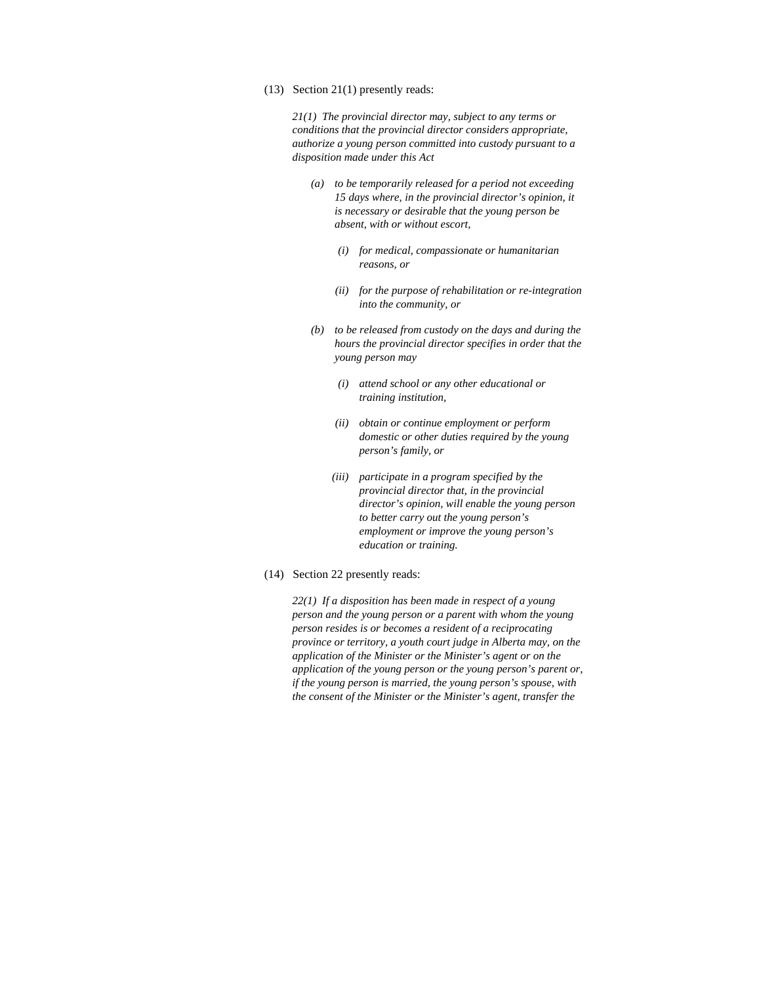(13) Section 21(1) presently reads:

*21(1) The provincial director may, subject to any terms or conditions that the provincial director considers appropriate, authorize a young person committed into custody pursuant to a disposition made under this Act* 

- *(a) to be temporarily released for a period not exceeding 15 days where, in the provincial director's opinion, it is necessary or desirable that the young person be absent, with or without escort,* 
	- *(i) for medical, compassionate or humanitarian reasons, or*
	- *(ii) for the purpose of rehabilitation or re-integration into the community, or*
- *(b) to be released from custody on the days and during the hours the provincial director specifies in order that the young person may* 
	- *(i) attend school or any other educational or training institution,*
	- *(ii) obtain or continue employment or perform domestic or other duties required by the young person's family, or*
	- *(iii) participate in a program specified by the provincial director that, in the provincial director's opinion, will enable the young person to better carry out the young person's employment or improve the young person's education or training.*
- (14) Section 22 presently reads:

*22(1) If a disposition has been made in respect of a young person and the young person or a parent with whom the young person resides is or becomes a resident of a reciprocating province or territory, a youth court judge in Alberta may, on the application of the Minister or the Minister's agent or on the application of the young person or the young person's parent or, if the young person is married, the young person's spouse, with the consent of the Minister or the Minister's agent, transfer the*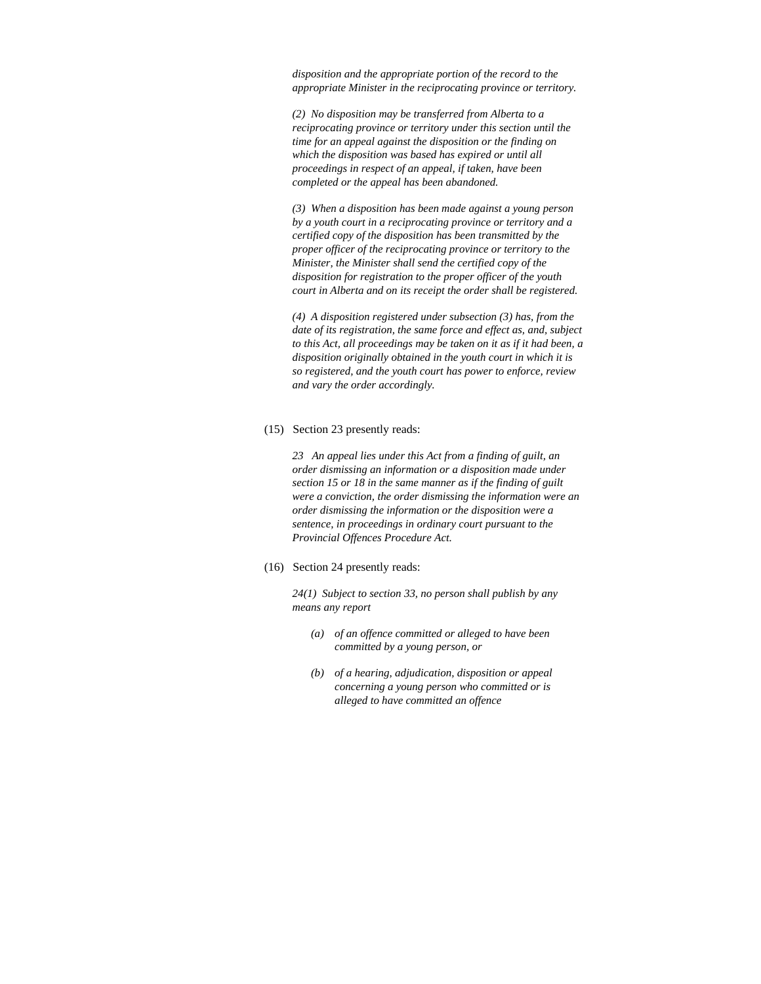*disposition and the appropriate portion of the record to the appropriate Minister in the reciprocating province or territory.* 

*(2) No disposition may be transferred from Alberta to a reciprocating province or territory under this section until the time for an appeal against the disposition or the finding on which the disposition was based has expired or until all proceedings in respect of an appeal, if taken, have been completed or the appeal has been abandoned.* 

*(3) When a disposition has been made against a young person by a youth court in a reciprocating province or territory and a certified copy of the disposition has been transmitted by the proper officer of the reciprocating province or territory to the Minister, the Minister shall send the certified copy of the disposition for registration to the proper officer of the youth court in Alberta and on its receipt the order shall be registered.* 

*(4) A disposition registered under subsection (3) has, from the date of its registration, the same force and effect as, and, subject to this Act, all proceedings may be taken on it as if it had been, a disposition originally obtained in the youth court in which it is so registered, and the youth court has power to enforce, review and vary the order accordingly.* 

#### (15) Section 23 presently reads:

*23 An appeal lies under this Act from a finding of guilt, an order dismissing an information or a disposition made under section 15 or 18 in the same manner as if the finding of guilt were a conviction, the order dismissing the information were an order dismissing the information or the disposition were a sentence, in proceedings in ordinary court pursuant to the Provincial Offences Procedure Act.* 

## (16) Section 24 presently reads:

*24(1) Subject to section 33, no person shall publish by any means any report* 

- *(a) of an offence committed or alleged to have been committed by a young person, or*
- *(b) of a hearing, adjudication, disposition or appeal concerning a young person who committed or is alleged to have committed an offence*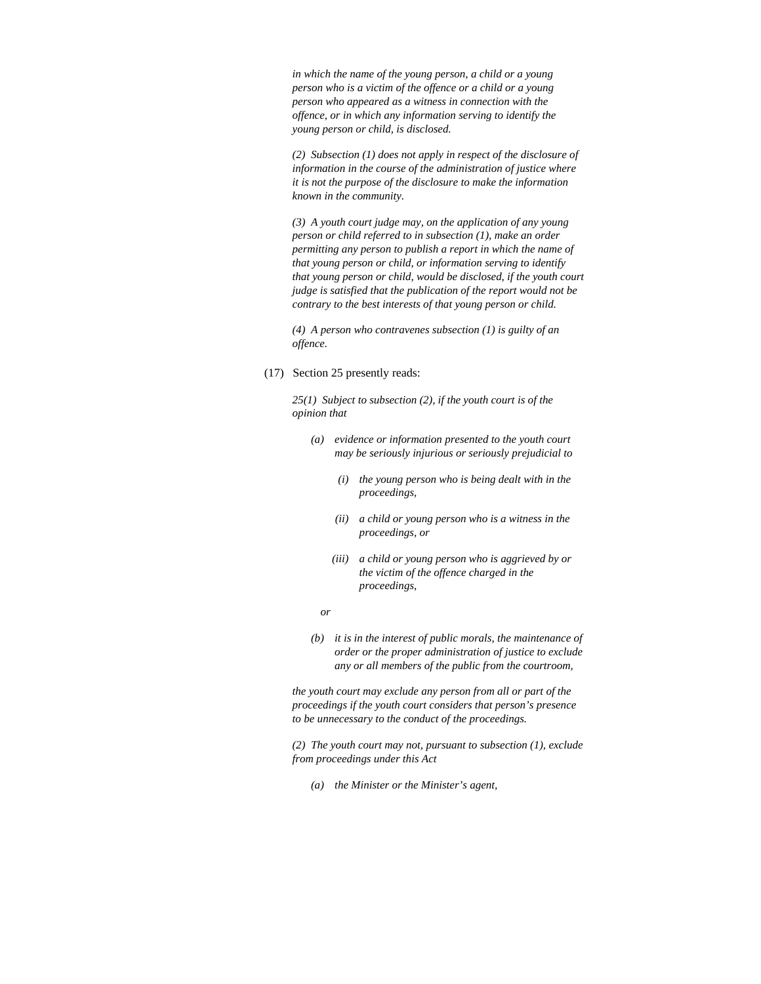*in which the name of the young person, a child or a young person who is a victim of the offence or a child or a young person who appeared as a witness in connection with the offence, or in which any information serving to identify the young person or child, is disclosed.* 

*(2) Subsection (1) does not apply in respect of the disclosure of information in the course of the administration of justice where it is not the purpose of the disclosure to make the information known in the community.* 

*(3) A youth court judge may, on the application of any young person or child referred to in subsection (1), make an order permitting any person to publish a report in which the name of that young person or child, or information serving to identify that young person or child, would be disclosed, if the youth court judge is satisfied that the publication of the report would not be contrary to the best interests of that young person or child.* 

*(4) A person who contravenes subsection (1) is guilty of an offence.* 

(17) Section 25 presently reads:

*25(1) Subject to subsection (2), if the youth court is of the opinion that* 

- *(a) evidence or information presented to the youth court may be seriously injurious or seriously prejudicial to* 
	- *(i) the young person who is being dealt with in the proceedings,*
	- *(ii) a child or young person who is a witness in the proceedings, or*
	- *(iii) a child or young person who is aggrieved by or the victim of the offence charged in the proceedings,*
- *or* 
	- *(b) it is in the interest of public morals, the maintenance of order or the proper administration of justice to exclude any or all members of the public from the courtroom,*

*the youth court may exclude any person from all or part of the proceedings if the youth court considers that person's presence to be unnecessary to the conduct of the proceedings.* 

*(2) The youth court may not, pursuant to subsection (1), exclude from proceedings under this Act* 

 *(a) the Minister or the Minister's agent,*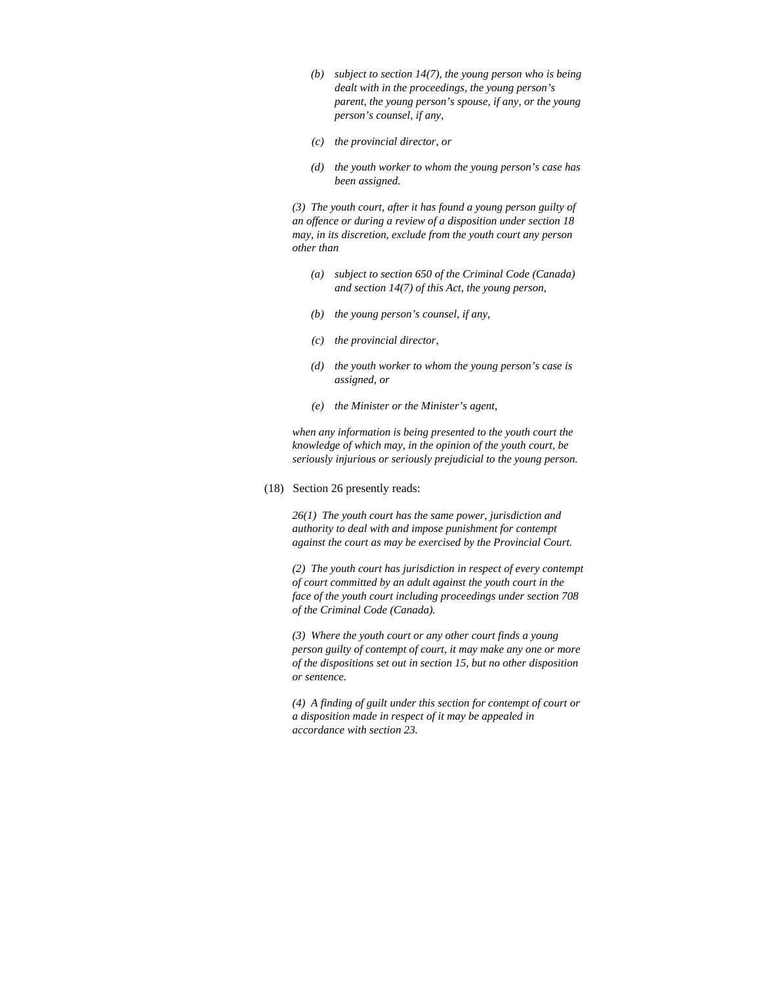- *(b) subject to section 14(7), the young person who is being dealt with in the proceedings, the young person's parent, the young person's spouse, if any, or the young person's counsel, if any,*
- *(c) the provincial director, or*
- *(d) the youth worker to whom the young person's case has been assigned.*

*(3) The youth court, after it has found a young person guilty of an offence or during a review of a disposition under section 18 may, in its discretion, exclude from the youth court any person other than* 

- *(a) subject to section 650 of the Criminal Code (Canada) and section 14(7) of this Act, the young person,*
- *(b) the young person's counsel, if any,*
- *(c) the provincial director,*
- *(d) the youth worker to whom the young person's case is assigned, or*
- *(e) the Minister or the Minister's agent,*

*when any information is being presented to the youth court the knowledge of which may, in the opinion of the youth court, be seriously injurious or seriously prejudicial to the young person.* 

#### (18) Section 26 presently reads:

*26(1) The youth court has the same power, jurisdiction and authority to deal with and impose punishment for contempt against the court as may be exercised by the Provincial Court.* 

*(2) The youth court has jurisdiction in respect of every contempt of court committed by an adult against the youth court in the face of the youth court including proceedings under section 708 of the Criminal Code (Canada).* 

*(3) Where the youth court or any other court finds a young person guilty of contempt of court, it may make any one or more of the dispositions set out in section 15, but no other disposition or sentence.* 

*(4) A finding of guilt under this section for contempt of court or a disposition made in respect of it may be appealed in accordance with section 23.*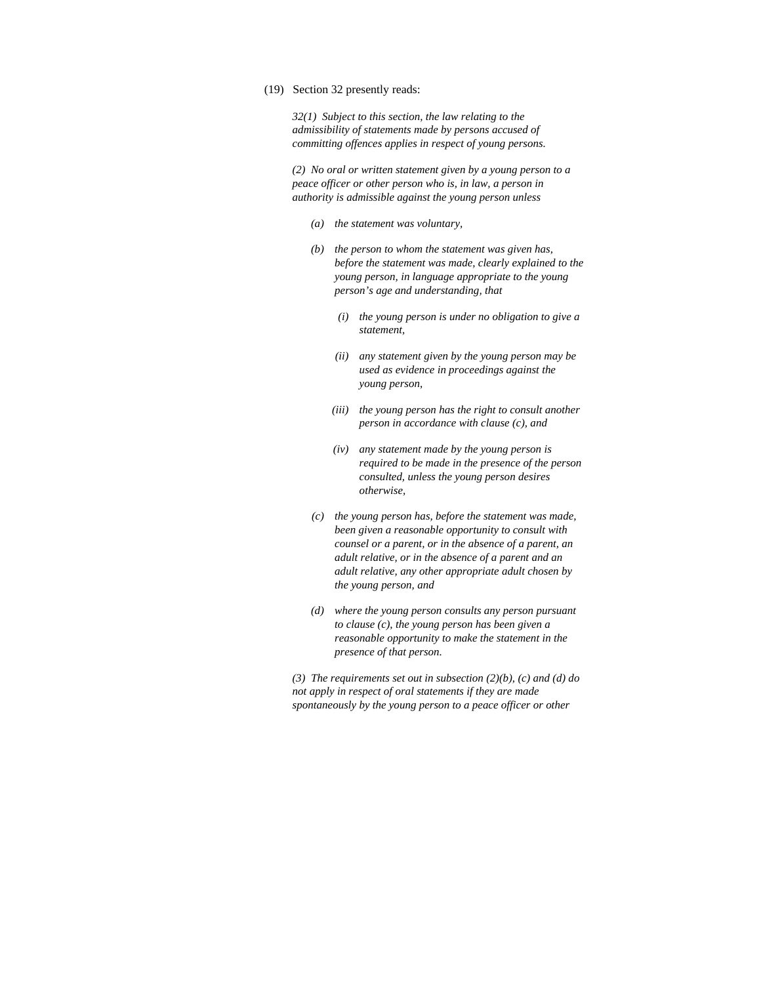#### (19) Section 32 presently reads:

*32(1) Subject to this section, the law relating to the admissibility of statements made by persons accused of committing offences applies in respect of young persons.* 

*(2) No oral or written statement given by a young person to a peace officer or other person who is, in law, a person in authority is admissible against the young person unless* 

- *(a) the statement was voluntary,*
- *(b) the person to whom the statement was given has, before the statement was made, clearly explained to the young person, in language appropriate to the young person's age and understanding, that* 
	- *(i) the young person is under no obligation to give a statement,*
	- *(ii) any statement given by the young person may be used as evidence in proceedings against the young person,*
	- *(iii) the young person has the right to consult another person in accordance with clause (c), and*
	- *(iv) any statement made by the young person is required to be made in the presence of the person consulted, unless the young person desires otherwise,*
- *(c) the young person has, before the statement was made, been given a reasonable opportunity to consult with counsel or a parent, or in the absence of a parent, an adult relative, or in the absence of a parent and an adult relative, any other appropriate adult chosen by the young person, and*
- *(d) where the young person consults any person pursuant to clause (c), the young person has been given a reasonable opportunity to make the statement in the presence of that person.*

*(3) The requirements set out in subsection (2)(b), (c) and (d) do not apply in respect of oral statements if they are made spontaneously by the young person to a peace officer or other*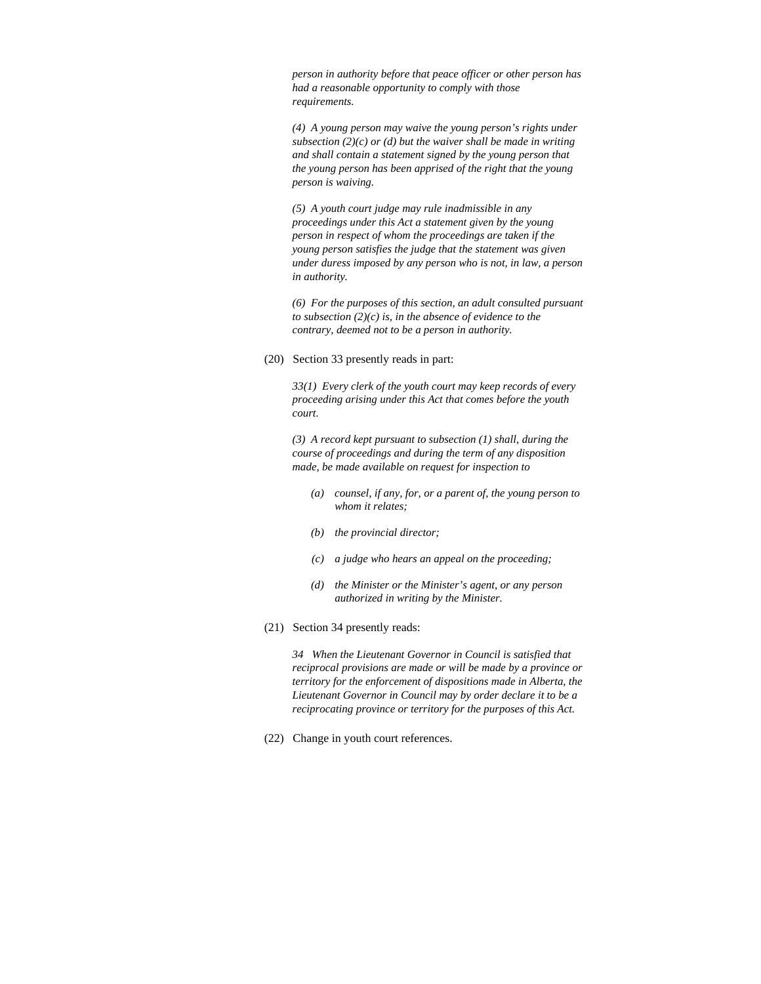*person in authority before that peace officer or other person has had a reasonable opportunity to comply with those requirements.* 

*(4) A young person may waive the young person's rights under subsection (2)(c) or (d) but the waiver shall be made in writing and shall contain a statement signed by the young person that the young person has been apprised of the right that the young person is waiving.* 

*(5) A youth court judge may rule inadmissible in any proceedings under this Act a statement given by the young person in respect of whom the proceedings are taken if the young person satisfies the judge that the statement was given under duress imposed by any person who is not, in law, a person in authority.* 

*(6) For the purposes of this section, an adult consulted pursuant to subsection (2)(c) is, in the absence of evidence to the contrary, deemed not to be a person in authority.* 

(20) Section 33 presently reads in part:

*33(1) Every clerk of the youth court may keep records of every proceeding arising under this Act that comes before the youth court.* 

*(3) A record kept pursuant to subsection (1) shall, during the course of proceedings and during the term of any disposition made, be made available on request for inspection to* 

- *(a) counsel, if any, for, or a parent of, the young person to whom it relates;*
- *(b) the provincial director;*
- *(c) a judge who hears an appeal on the proceeding;*
- *(d) the Minister or the Minister's agent, or any person authorized in writing by the Minister.*
- (21) Section 34 presently reads:

*34 When the Lieutenant Governor in Council is satisfied that reciprocal provisions are made or will be made by a province or territory for the enforcement of dispositions made in Alberta, the Lieutenant Governor in Council may by order declare it to be a reciprocating province or territory for the purposes of this Act.* 

(22) Change in youth court references.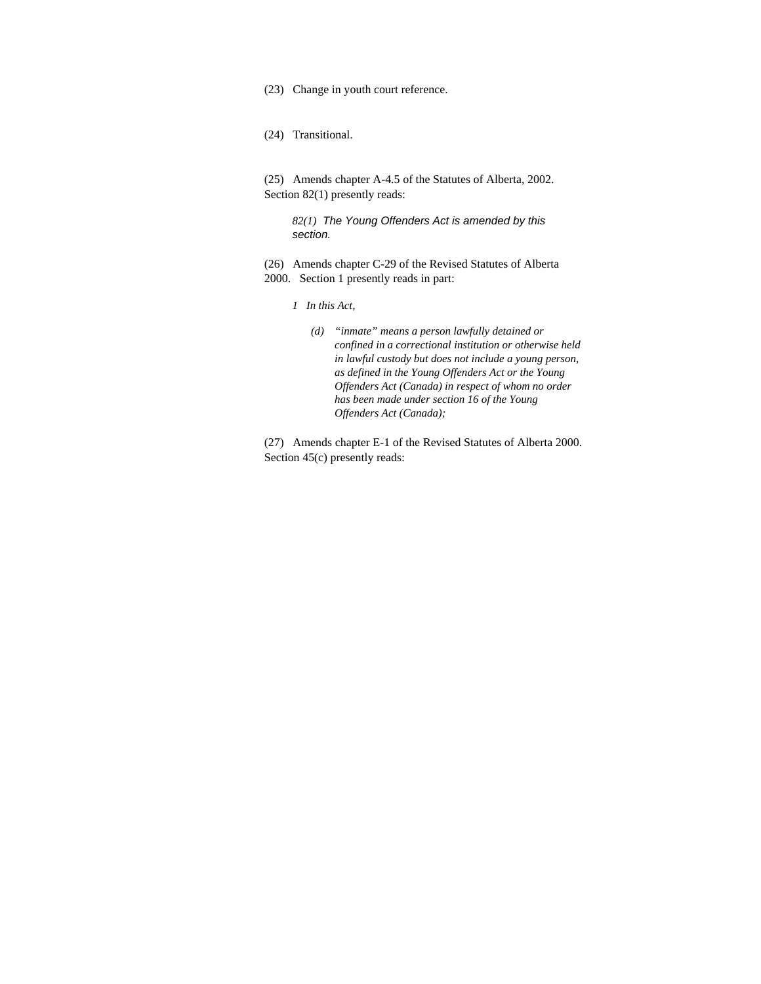(23) Change in youth court reference.

(24) Transitional.

(25) Amends chapter A-4.5 of the Statutes of Alberta, 2002. Section 82(1) presently reads:

*82(1) The Young Offenders Act is amended by this section.* 

(26) Amends chapter C-29 of the Revised Statutes of Alberta 2000. Section 1 presently reads in part:

- *1 In this Act,* 
	- *(d) "inmate" means a person lawfully detained or confined in a correctional institution or otherwise held in lawful custody but does not include a young person, as defined in the Young Offenders Act or the Young Offenders Act (Canada) in respect of whom no order has been made under section 16 of the Young Offenders Act (Canada);*

(27) Amends chapter E-1 of the Revised Statutes of Alberta 2000. Section 45(c) presently reads: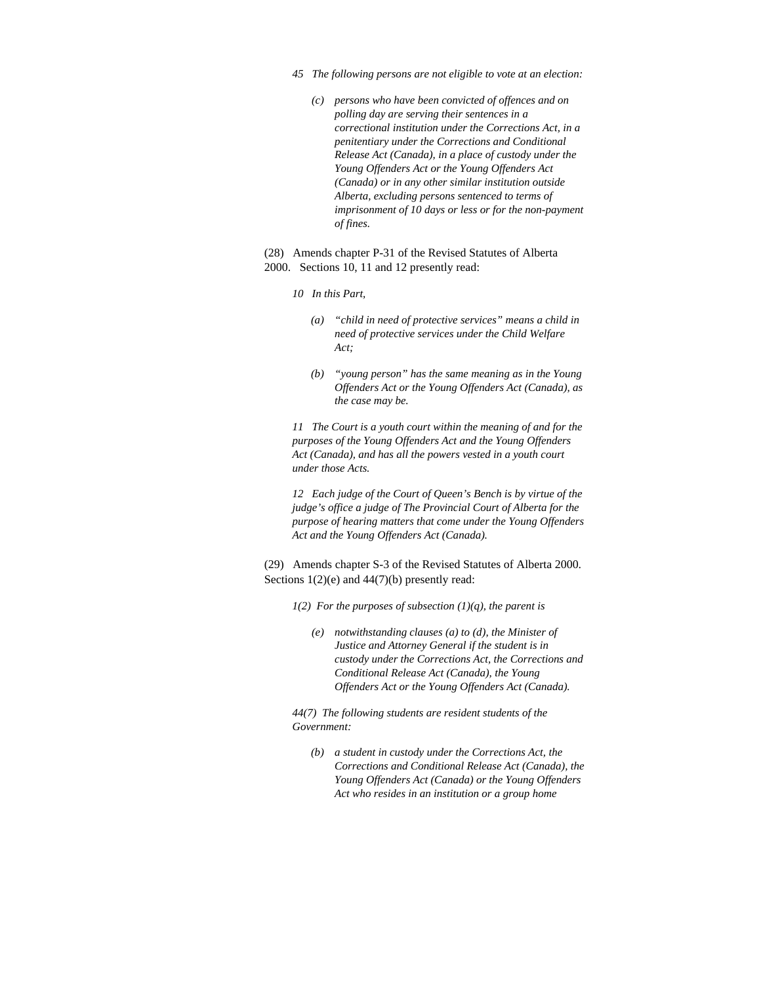- *45 The following persons are not eligible to vote at an election:* 
	- *(c) persons who have been convicted of offences and on polling day are serving their sentences in a correctional institution under the Corrections Act, in a penitentiary under the Corrections and Conditional Release Act (Canada), in a place of custody under the Young Offenders Act or the Young Offenders Act (Canada) or in any other similar institution outside Alberta, excluding persons sentenced to terms of imprisonment of 10 days or less or for the non-payment of fines.*
- (28) Amends chapter P-31 of the Revised Statutes of Alberta 2000. Sections 10, 11 and 12 presently read:
	- *10 In this Part,* 
		- *(a) "child in need of protective services" means a child in need of protective services under the Child Welfare Act;*
		- *(b) "young person" has the same meaning as in the Young Offenders Act or the Young Offenders Act (Canada), as the case may be.*

*11 The Court is a youth court within the meaning of and for the purposes of the Young Offenders Act and the Young Offenders Act (Canada), and has all the powers vested in a youth court under those Acts.* 

*12 Each judge of the Court of Queen's Bench is by virtue of the judge's office a judge of The Provincial Court of Alberta for the purpose of hearing matters that come under the Young Offenders Act and the Young Offenders Act (Canada).* 

(29) Amends chapter S-3 of the Revised Statutes of Alberta 2000. Sections 1(2)(e) and 44(7)(b) presently read:

*1(2) For the purposes of subsection (1)(q), the parent is* 

 *(e) notwithstanding clauses (a) to (d), the Minister of Justice and Attorney General if the student is in custody under the Corrections Act, the Corrections and Conditional Release Act (Canada), the Young Offenders Act or the Young Offenders Act (Canada).* 

*44(7) The following students are resident students of the Government:* 

 *(b) a student in custody under the Corrections Act, the Corrections and Conditional Release Act (Canada), the Young Offenders Act (Canada) or the Young Offenders Act who resides in an institution or a group home*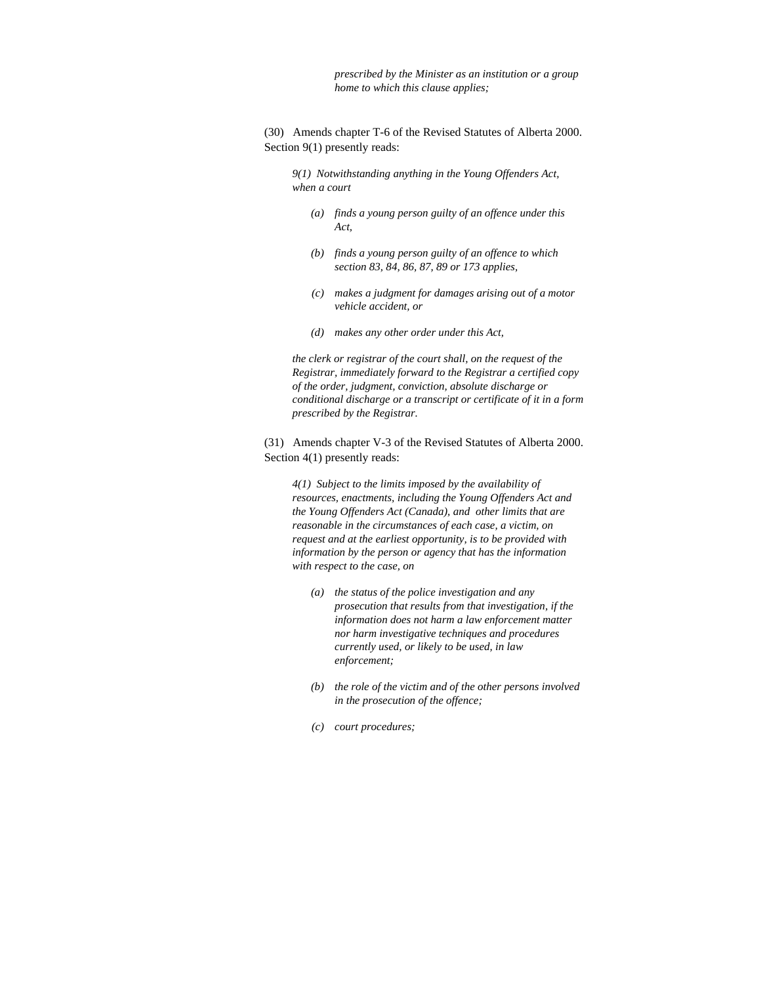*prescribed by the Minister as an institution or a group home to which this clause applies;* 

(30) Amends chapter T-6 of the Revised Statutes of Alberta 2000. Section 9(1) presently reads:

*9(1) Notwithstanding anything in the Young Offenders Act, when a court* 

- *(a) finds a young person guilty of an offence under this Act,*
- *(b) finds a young person guilty of an offence to which section 83, 84, 86, 87, 89 or 173 applies,*
- *(c) makes a judgment for damages arising out of a motor vehicle accident, or*
- *(d) makes any other order under this Act,*

*the clerk or registrar of the court shall, on the request of the Registrar, immediately forward to the Registrar a certified copy of the order, judgment, conviction, absolute discharge or conditional discharge or a transcript or certificate of it in a form prescribed by the Registrar.* 

(31) Amends chapter V-3 of the Revised Statutes of Alberta 2000. Section  $4(1)$  presently reads:

*4(1) Subject to the limits imposed by the availability of resources, enactments, including the Young Offenders Act and the Young Offenders Act (Canada), and other limits that are reasonable in the circumstances of each case, a victim, on request and at the earliest opportunity, is to be provided with information by the person or agency that has the information with respect to the case, on* 

- *(a) the status of the police investigation and any prosecution that results from that investigation, if the information does not harm a law enforcement matter nor harm investigative techniques and procedures currently used, or likely to be used, in law enforcement;*
- *(b) the role of the victim and of the other persons involved in the prosecution of the offence;*
- *(c) court procedures;*